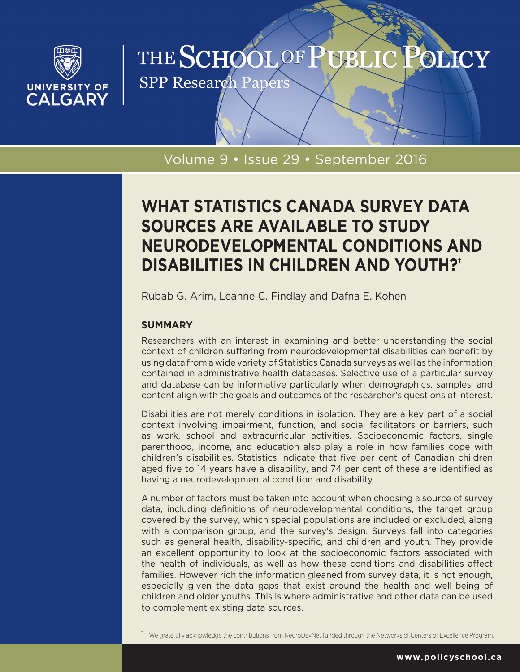

# THE SCHOOL OF PUBLIC POLICY

**SPP Research Papers** 

## Volume 9 • Issue 29 • September 2016

# **WHAT STATISTICS CANADA SURVEY DATA SOURCES ARE AVAILABLE TO STUDY NEURODEVELOPMENTAL CONDITIONS AND DISABILITIES IN CHILDREN AND YOUTH?†**

Rubab G. Arim, Leanne C. Findlay and Dafna E. Kohen

## **SUMMARY**

Researchers with an interest in examining and better understanding the social context of children suffering from neurodevelopmental disabilities can benefit by using data from a wide variety of Statistics Canada surveys as well as the information contained in administrative health databases. Selective use of a particular survey and database can be informative particularly when demographics, samples, and content align with the goals and outcomes of the researcher's questions of interest.

Disabilities are not merely conditions in isolation. They are a key part of a social context involving impairment, function, and social facilitators or barriers, such as work, school and extracurricular activities. Socioeconomic factors, single parenthood, income, and education also play a role in how families cope with children's disabilities. Statistics indicate that five per cent of Canadian children aged five to 14 years have a disability, and 74 per cent of these are identified as having a neurodevelopmental condition and disability.

A number of factors must be taken into account when choosing a source of survey data, including definitions of neurodevelopmental conditions, the target group covered by the survey, which special populations are included or excluded, along with a comparison group, and the survey's design. Surveys fall into categories such as general health, disability-specific, and children and youth. They provide an excellent opportunity to look at the socioeconomic factors associated with the health of individuals, as well as how these conditions and disabilities affect families. However rich the information gleaned from survey data, it is not enough, especially given the data gaps that exist around the health and well-being of children and older youths. This is where administrative and other data can be used to complement existing data sources.

We gratefully acknowledge the contributions from NeuroDevNet funded through the Networks of Centers of Excellence Program.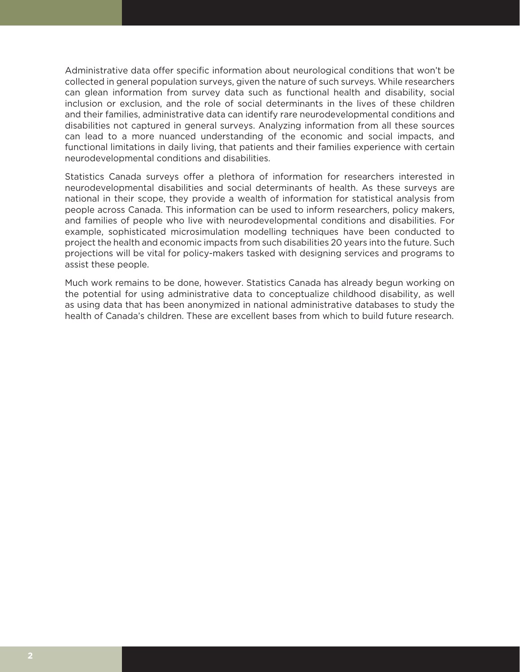Administrative data offer specific information about neurological conditions that won't be collected in general population surveys, given the nature of such surveys. While researchers can glean information from survey data such as functional health and disability, social inclusion or exclusion, and the role of social determinants in the lives of these children and their families, administrative data can identify rare neurodevelopmental conditions and disabilities not captured in general surveys. Analyzing information from all these sources can lead to a more nuanced understanding of the economic and social impacts, and functional limitations in daily living, that patients and their families experience with certain neurodevelopmental conditions and disabilities.

Statistics Canada surveys offer a plethora of information for researchers interested in neurodevelopmental disabilities and social determinants of health. As these surveys are national in their scope, they provide a wealth of information for statistical analysis from people across Canada. This information can be used to inform researchers, policy makers, and families of people who live with neurodevelopmental conditions and disabilities. For example, sophisticated microsimulation modelling techniques have been conducted to project the health and economic impacts from such disabilities 20 years into the future. Such projections will be vital for policy-makers tasked with designing services and programs to assist these people.

Much work remains to be done, however. Statistics Canada has already begun working on the potential for using administrative data to conceptualize childhood disability, as well as using data that has been anonymized in national administrative databases to study the health of Canada's children. These are excellent bases from which to build future research.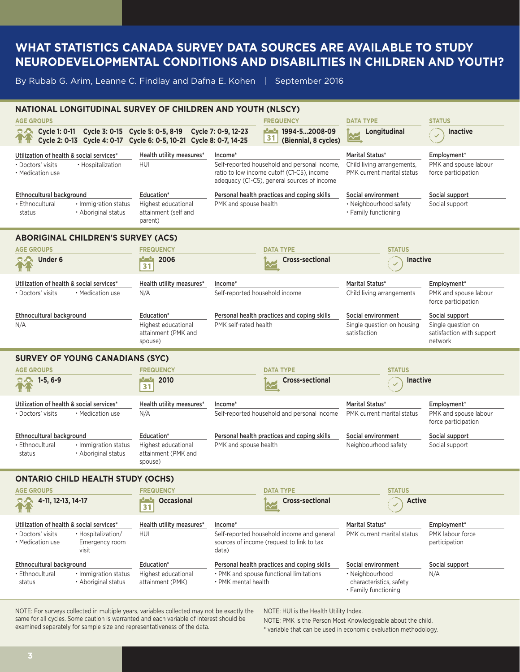## **WHAT STATISTICS CANADA SURVEY DATA SOURCES ARE AVAILABLE TO STUDY NEURODEVELOPMENTAL CONDITIONS AND DISABILITIES IN CHILDREN AND YOUTH?**

By Rubab G. Arim, Leanne C. Findlay and Dafna E. Kohen | September 2016

| NATIONAL LONGITUDINAL SURVEY OF CHILDREN AND YOUTH (NLSCY) |                                               |                                                                     |                                |                                                                                                                                           |                                                          |                                                            |  |  |  |
|------------------------------------------------------------|-----------------------------------------------|---------------------------------------------------------------------|--------------------------------|-------------------------------------------------------------------------------------------------------------------------------------------|----------------------------------------------------------|------------------------------------------------------------|--|--|--|
| <b>AGE GROUPS</b>                                          |                                               |                                                                     |                                | <b>FREQUENCY</b>                                                                                                                          | <b>DATA TYPE</b>                                         | <b>STATUS</b>                                              |  |  |  |
| C & Cycle 1: 0-11 Cycle 3: 0-15 Cycle 5: 0-5, 8-19         |                                               | Cycle 2: 0-13 Cycle 4: 0-17 Cycle 6: 0-5, 10-21 Cycle 8: 0-7, 14-25 | Cycle 7: 0-9, 12-23            | $1994 - 52008 - 09$<br><u>31</u><br>(Biennial, 8 cycles)                                                                                  | Longitudinal<br>$\overline{\mathbf{r}}$                  | <b>Inactive</b>                                            |  |  |  |
| Utilization of health & social services*                   |                                               | Health utility measures*                                            | Income*                        |                                                                                                                                           | Marital Status*                                          | Employment*                                                |  |  |  |
| • Doctors' visits<br>• Medication use                      | • Hospitalization                             | <b>HUI</b>                                                          |                                | Self-reported household and personal income,<br>ratio to low income cutoff (C1-C5), income<br>adequacy (C1-C5), general sources of income | Child living arrangements,<br>PMK current marital status | PMK and spouse labour<br>force participation               |  |  |  |
| Ethnocultural background                                   |                                               | Education*                                                          |                                | Personal health practices and coping skills                                                                                               | Social environment                                       | Social support                                             |  |  |  |
| · Ethnocultural<br>status                                  | · Immigration status<br>• Aboriginal status   | Highest educational<br>attainment (self and<br>parent)              | PMK and spouse health          |                                                                                                                                           | · Neighbourhood safety<br>• Family functioning           | Social support                                             |  |  |  |
| <b>ABORIGINAL CHILDREN'S SURVEY (ACS)</b>                  |                                               |                                                                     |                                |                                                                                                                                           |                                                          |                                                            |  |  |  |
| <b>AGE GROUPS</b>                                          |                                               | <b>FREQUENCY</b>                                                    |                                | <b>DATA TYPE</b>                                                                                                                          | <b>STATUS</b>                                            |                                                            |  |  |  |
| $\circledcirc$ Under 6                                     |                                               | $\mathbf{v}$<br>2006<br>31                                          |                                | <b>Cross-sectional</b>                                                                                                                    | <b>Inactive</b>                                          |                                                            |  |  |  |
| Utilization of health & social services*                   |                                               | Health utility measures*                                            | Income*                        |                                                                                                                                           | <b>Marital Status*</b>                                   | Employment*                                                |  |  |  |
| • Doctors' visits                                          | • Medication use                              | N/A                                                                 | Self-reported household income |                                                                                                                                           | Child living arrangements                                | PMK and spouse labour<br>force participation               |  |  |  |
| Ethnocultural background                                   |                                               | Education*                                                          |                                | Personal health practices and coping skills                                                                                               | Social environment                                       | Social support                                             |  |  |  |
| N/A                                                        |                                               | Highest educational<br>attainment (PMK and<br>spouse)               | PMK self-rated health          |                                                                                                                                           | Single question on housing<br>satisfaction               | Single question on<br>satisfaction with support<br>network |  |  |  |
| <b>SURVEY OF YOUNG CANADIANS (SYC)</b>                     |                                               |                                                                     |                                |                                                                                                                                           |                                                          |                                                            |  |  |  |
| <b>AGE GROUPS</b>                                          |                                               | <b>FREQUENCY</b>                                                    |                                | <b>DATA TYPE</b>                                                                                                                          | <b>STATUS</b>                                            |                                                            |  |  |  |
| $Q$ , $Q$ , 1-5, 6-9                                       |                                               | $\mathbf{0}$<br>2010<br>31                                          |                                | <b>Cross-sectional</b><br>$\sim$                                                                                                          | <b>Inactive</b>                                          |                                                            |  |  |  |
|                                                            |                                               |                                                                     |                                |                                                                                                                                           |                                                          |                                                            |  |  |  |
| Utilization of health & social services*                   |                                               | Health utility measures*                                            | Income*                        |                                                                                                                                           | <b>Marital Status*</b>                                   | Employment*                                                |  |  |  |
| • Doctors' visits                                          | • Medication use                              | N/A                                                                 |                                | Self-reported household and personal income                                                                                               | PMK current marital status                               | PMK and spouse labour<br>force participation               |  |  |  |
| Ethnocultural background                                   |                                               | Education*                                                          |                                | Personal health practices and coping skills                                                                                               | Social environment                                       | Social support                                             |  |  |  |
| • Ethnocultural<br>status                                  | · Immigration status<br>• Aboriginal status   | Highest educational<br>attainment (PMK and<br>spouse)               | PMK and spouse health          |                                                                                                                                           | Neighbourhood safety                                     | Social support                                             |  |  |  |
| <b>ONTARIO CHILD HEALTH STUDY (OCHS)</b>                   |                                               |                                                                     |                                |                                                                                                                                           |                                                          |                                                            |  |  |  |
| <b>AGE GROUPS</b>                                          |                                               | <b>FREQUENCY</b>                                                    |                                | <b>DATA TYPE</b>                                                                                                                          | <b>STATUS</b>                                            |                                                            |  |  |  |
| $Q \, Q$ 4-11, 12-13, 14-17                                |                                               | $\mathbf{v}$<br>Occasional<br>31                                    |                                | <b>Cross-sectional</b><br>$\approx$                                                                                                       | <b>Active</b><br>$\checkmark$                            |                                                            |  |  |  |
| Utilization of health & social services*                   |                                               | Health utility measures*                                            | Income*                        |                                                                                                                                           | Marital Status*                                          | Employment*                                                |  |  |  |
| • Doctors' visits<br>• Medication use                      | · Hospitalization/<br>Emergency room<br>visit | HUI                                                                 | data)                          | Self-reported household income and general<br>sources of income (request to link to tax                                                   | PMK current marital status                               | PMK labour force<br>participation                          |  |  |  |
| Ethnocultural background                                   |                                               | Education*                                                          |                                | Personal health practices and coping skills                                                                                               | Social environment<br>· Neighbourhood                    | Social support<br>N/A                                      |  |  |  |

NOTE: For surveys collected in multiple years, variables collected may not be exactly the same for all cycles. Some caution is warranted and each variable of interest should be examined separately for sample size and representativeness of the data.

NOTE: HUI is the Health Utility Index.

NOTE: PMK is the Person Most Knowledgeable about the child. \* variable that can be used in economic evaluation methodology.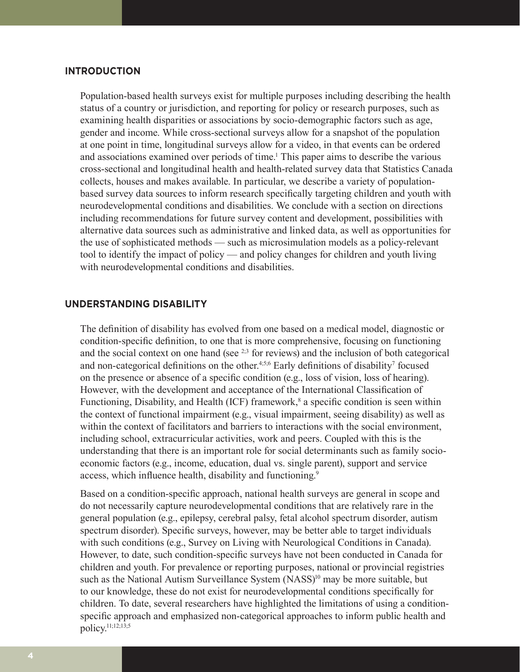## **INTRODUCTION**

Population-based health surveys exist for multiple purposes including describing the health status of a country or jurisdiction, and reporting for policy or research purposes, such as examining health disparities or associations by socio-demographic factors such as age, gender and income. While cross-sectional surveys allow for a snapshot of the population at one point in time, longitudinal surveys allow for a video, in that events can be ordered and associations examined over periods of time.<sup>1</sup> This paper aims to describe the various cross-sectional and longitudinal health and health-related survey data that Statistics Canada collects, houses and makes available. In particular, we describe a variety of populationbased survey data sources to inform research specifically targeting children and youth with neurodevelopmental conditions and disabilities. We conclude with a section on directions including recommendations for future survey content and development, possibilities with alternative data sources such as administrative and linked data, as well as opportunities for the use of sophisticated methods — such as microsimulation models as a policy-relevant tool to identify the impact of policy — and policy changes for children and youth living with neurodevelopmental conditions and disabilities.

## **UNDERSTANDING DISABILITY**

The definition of disability has evolved from one based on a medical model, diagnostic or condition-specific definition, to one that is more comprehensive, focusing on functioning and the social context on one hand (see  $2.3$  for reviews) and the inclusion of both categorical and non-categorical definitions on the other. $4,5,6$  Early definitions of disability<sup>7</sup> focused on the presence or absence of a specific condition (e.g., loss of vision, loss of hearing). However, with the development and acceptance of the International Classification of Functioning, Disability, and Health (ICF) framework,<sup>8</sup> a specific condition is seen within the context of functional impairment (e.g., visual impairment, seeing disability) as well as within the context of facilitators and barriers to interactions with the social environment, including school, extracurricular activities, work and peers. Coupled with this is the understanding that there is an important role for social determinants such as family socioeconomic factors (e.g., income, education, dual vs. single parent), support and service access, which influence health, disability and functioning.<sup>9</sup>

Based on a condition-specific approach, national health surveys are general in scope and do not necessarily capture neurodevelopmental conditions that are relatively rare in the general population (e.g., epilepsy, cerebral palsy, fetal alcohol spectrum disorder, autism spectrum disorder). Specific surveys, however, may be better able to target individuals with such conditions (e.g., Survey on Living with Neurological Conditions in Canada). However, to date, such condition-specific surveys have not been conducted in Canada for children and youth. For prevalence or reporting purposes, national or provincial registries such as the National Autism Surveillance System (NASS)<sup>10</sup> may be more suitable, but to our knowledge, these do not exist for neurodevelopmental conditions specifically for children. To date, several researchers have highlighted the limitations of using a conditionspecific approach and emphasized non-categorical approaches to inform public health and policy.11;12;13;5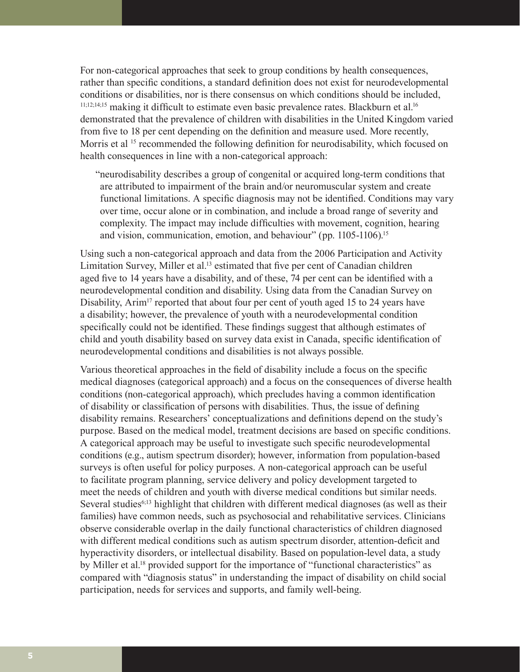For non-categorical approaches that seek to group conditions by health consequences, rather than specific conditions, a standard definition does not exist for neurodevelopmental conditions or disabilities, nor is there consensus on which conditions should be included, 11;12;14;15 making it difficult to estimate even basic prevalence rates. Blackburn et al.<sup>16</sup> demonstrated that the prevalence of children with disabilities in the United Kingdom varied from five to 18 per cent depending on the definition and measure used. More recently, Morris et al <sup>15</sup> recommended the following definition for neurodisability, which focused on health consequences in line with a non-categorical approach:

"neurodisability describes a group of congenital or acquired long-term conditions that are attributed to impairment of the brain and/or neuromuscular system and create functional limitations. A specific diagnosis may not be identified. Conditions may vary over time, occur alone or in combination, and include a broad range of severity and complexity. The impact may include difficulties with movement, cognition, hearing and vision, communication, emotion, and behaviour" (pp. 1105-1106).15

Using such a non-categorical approach and data from the 2006 Participation and Activity Limitation Survey, Miller et al.<sup>13</sup> estimated that five per cent of Canadian children aged five to 14 years have a disability, and of these, 74 per cent can be identified with a neurodevelopmental condition and disability. Using data from the Canadian Survey on Disability, Arim<sup>17</sup> reported that about four per cent of youth aged 15 to 24 years have a disability; however, the prevalence of youth with a neurodevelopmental condition specifically could not be identified. These findings suggest that although estimates of child and youth disability based on survey data exist in Canada, specific identification of neurodevelopmental conditions and disabilities is not always possible.

Various theoretical approaches in the field of disability include a focus on the specific medical diagnoses (categorical approach) and a focus on the consequences of diverse health conditions (non-categorical approach), which precludes having a common identification of disability or classification of persons with disabilities. Thus, the issue of defining disability remains. Researchers' conceptualizations and definitions depend on the study's purpose. Based on the medical model, treatment decisions are based on specific conditions. A categorical approach may be useful to investigate such specific neurodevelopmental conditions (e.g., autism spectrum disorder); however, information from population-based surveys is often useful for policy purposes. A non-categorical approach can be useful to facilitate program planning, service delivery and policy development targeted to meet the needs of children and youth with diverse medical conditions but similar needs. Several studies<sup>6;13</sup> highlight that children with different medical diagnoses (as well as their families) have common needs, such as psychosocial and rehabilitative services. Clinicians observe considerable overlap in the daily functional characteristics of children diagnosed with different medical conditions such as autism spectrum disorder, attention-deficit and hyperactivity disorders, or intellectual disability. Based on population-level data, a study by Miller et al.<sup>18</sup> provided support for the importance of "functional characteristics" as compared with "diagnosis status" in understanding the impact of disability on child social participation, needs for services and supports, and family well-being.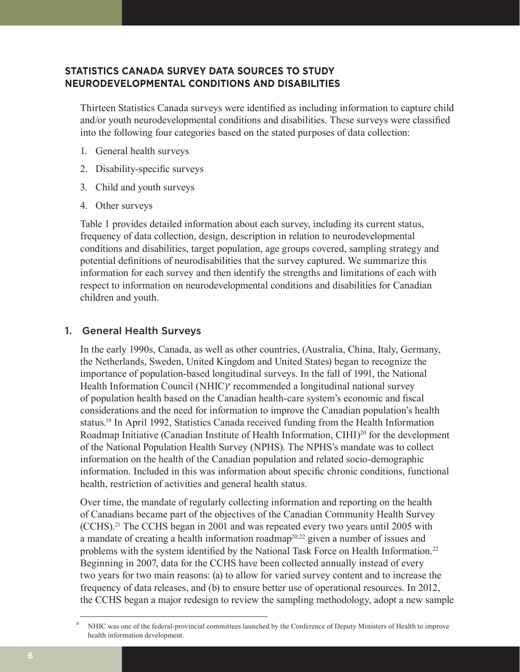## **STATISTICS CANADA SURVEY DATA SOURCES TO STUDY NEURODEVELOPMENTAL CONDITIONS AND DISABILITIES**

Thirteen Statistics Canada surveys were identified as including information to capture child and/or youth neurodevelopmental conditions and disabilities. These surveys were classified into the following four categories based on the stated purposes of data collection:

- 1. General health surveys
- 2. Disability-specific surveys
- 3. Child and youth surveys
- 4. Other surveys

Table 1 provides detailed information about each survey, including its current status, frequency of data collection, design, description in relation to neurodevelopmental conditions and disabilities, target population, age groups covered, sampling strategy and potential definitions of neurodisabilities that the survey captured. We summarize this information for each survey and then identify the strengths and limitations of each with respect to information on neurodevelopmental conditions and disabilities for Canadian children and youth.

## 1. General Health Surveys

In the early 1990s, Canada, as well as other countries, (Australia, China, Italy, Germany, the Netherlands, Sweden, United Kingdom and United States) began to recognize the importance of population-based longitudinal surveys. In the fall of 1991, the National Health Information Council (NHIC)<sup>a</sup> recommended a longitudinal national survey of population health based on the Canadian health-care system's economic and fiscal considerations and the need for information to improve the Canadian population's health status.19 In April 1992, Statistics Canada received funding from the Health Information Roadmap Initiative (Canadian Institute of Health Information, CIHI)<sup>20</sup> for the development of the National Population Health Survey (NPHS). The NPHS's mandate was to collect information on the health of the Canadian population and related socio-demographic information. Included in this was information about specific chronic conditions, functional health, restriction of activities and general health status.

Over time, the mandate of regularly collecting information and reporting on the health of Canadians became part of the objectives of the Canadian Community Health Survey (CCHS).21 The CCHS began in 2001 and was repeated every two years until 2005 with a mandate of creating a health information roadmap<sup>20;22</sup> given a number of issues and problems with the system identified by the National Task Force on Health Information.<sup>22</sup> Beginning in 2007, data for the CCHS have been collected annually instead of every two years for two main reasons: (a) to allow for varied survey content and to increase the frequency of data releases, and (b) to ensure better use of operational resources. In 2012, the CCHS began a major redesign to review the sampling methodology, adopt a new sample

*<sup>a</sup>* NHIC was one of the federal-provincial committees launched by the Conference of Deputy Ministers of Health to improve health information development.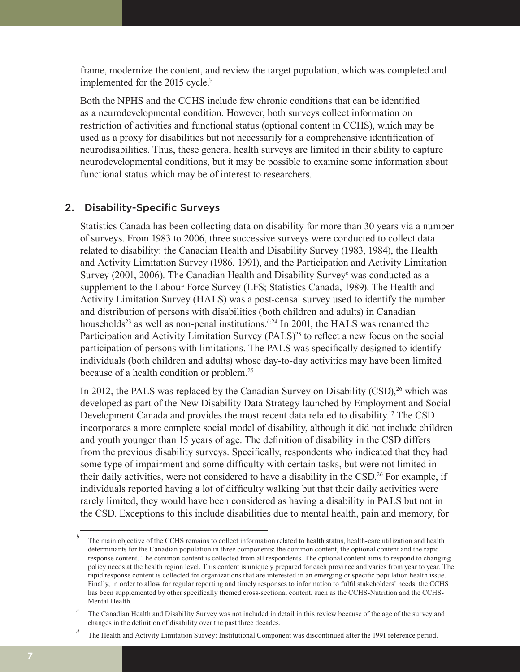frame, modernize the content, and review the target population, which was completed and implemented for the  $2015$  cycle.<sup>b</sup>

Both the NPHS and the CCHS include few chronic conditions that can be identified as a neurodevelopmental condition. However, both surveys collect information on restriction of activities and functional status (optional content in CCHS), which may be used as a proxy for disabilities but not necessarily for a comprehensive identification of neurodisabilities. Thus, these general health surveys are limited in their ability to capture neurodevelopmental conditions, but it may be possible to examine some information about functional status which may be of interest to researchers.

## 2. Disability-Specific Surveys

Statistics Canada has been collecting data on disability for more than 30 years via a number of surveys. From 1983 to 2006, three successive surveys were conducted to collect data related to disability: the Canadian Health and Disability Survey (1983, 1984), the Health and Activity Limitation Survey (1986, 1991), and the Participation and Activity Limitation Survey (2001, 2006). The Canadian Health and Disability Survey<sup>c</sup> was conducted as a supplement to the Labour Force Survey (LFS; Statistics Canada, 1989). The Health and Activity Limitation Survey (HALS) was a post-censal survey used to identify the number and distribution of persons with disabilities (both children and adults) in Canadian households<sup>23</sup> as well as non-penal institutions.<sup>d;24</sup> In 2001, the HALS was renamed the Participation and Activity Limitation Survey (PALS)<sup>25</sup> to reflect a new focus on the social participation of persons with limitations. The PALS was specifically designed to identify individuals (both children and adults) whose day-to-day activities may have been limited because of a health condition or problem.<sup>25</sup>

In 2012, the PALS was replaced by the Canadian Survey on Disability  $(CSD)$ ,<sup>26</sup> which was developed as part of the New Disability Data Strategy launched by Employment and Social Development Canada and provides the most recent data related to disability.17 The CSD incorporates a more complete social model of disability, although it did not include children and youth younger than 15 years of age. The definition of disability in the CSD differs from the previous disability surveys. Specifically, respondents who indicated that they had some type of impairment and some difficulty with certain tasks, but were not limited in their daily activities, were not considered to have a disability in the CSD.26 For example, if individuals reported having a lot of difficulty walking but that their daily activities were rarely limited, they would have been considered as having a disability in PALS but not in the CSD. Exceptions to this include disabilities due to mental health, pain and memory, for

*<sup>b</sup>* The main objective of the CCHS remains to collect information related to health status, health-care utilization and health determinants for the Canadian population in three components: the common content, the optional content and the rapid response content. The common content is collected from all respondents. The optional content aims to respond to changing policy needs at the health region level. This content is uniquely prepared for each province and varies from year to year. The rapid response content is collected for organizations that are interested in an emerging or specific population health issue. Finally, in order to allow for regular reporting and timely responses to information to fulfil stakeholders' needs, the CCHS has been supplemented by other specifically themed cross-sectional content, such as the CCHS-Nutrition and the CCHS-Mental Health.

*<sup>c</sup>* The Canadian Health and Disability Survey was not included in detail in this review because of the age of the survey and changes in the definition of disability over the past three decades.

The Health and Activity Limitation Survey: Institutional Component was discontinued after the 1991 reference period.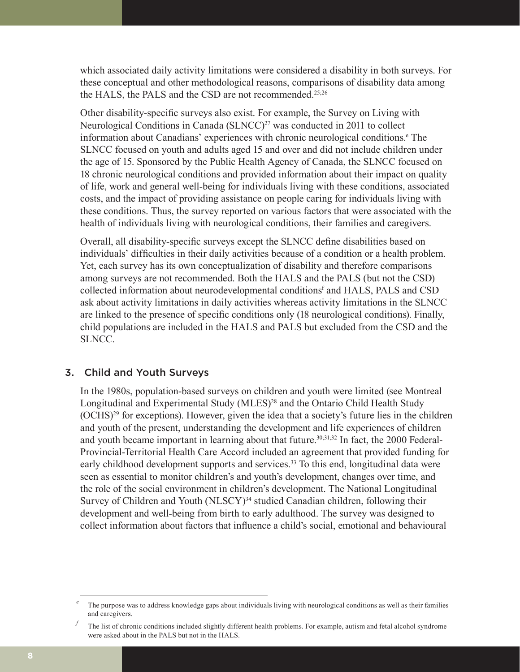which associated daily activity limitations were considered a disability in both surveys. For these conceptual and other methodological reasons, comparisons of disability data among the HALS, the PALS and the CSD are not recommended.25;26

Other disability-specific surveys also exist. For example, the Survey on Living with Neurological Conditions in Canada (SLNCC)<sup>27</sup> was conducted in 2011 to collect information about Canadians' experiences with chronic neurological conditions.<sup>e</sup> The SLNCC focused on youth and adults aged 15 and over and did not include children under the age of 15. Sponsored by the Public Health Agency of Canada, the SLNCC focused on 18 chronic neurological conditions and provided information about their impact on quality of life, work and general well-being for individuals living with these conditions, associated costs, and the impact of providing assistance on people caring for individuals living with these conditions. Thus, the survey reported on various factors that were associated with the health of individuals living with neurological conditions, their families and caregivers.

Overall, all disability-specific surveys except the SLNCC define disabilities based on individuals' difficulties in their daily activities because of a condition or a health problem. Yet, each survey has its own conceptualization of disability and therefore comparisons among surveys are not recommended. Both the HALS and the PALS (but not the CSD) collected information about neurodevelopmental conditions<sup>f</sup> and HALS, PALS and CSD ask about activity limitations in daily activities whereas activity limitations in the SLNCC are linked to the presence of specific conditions only (18 neurological conditions). Finally, child populations are included in the HALS and PALS but excluded from the CSD and the SLNCC.

## 3. Child and Youth Surveys

In the 1980s, population-based surveys on children and youth were limited (see Montreal Longitudinal and Experimental Study (MLES)<sup>28</sup> and the Ontario Child Health Study (OCHS)29 for exceptions). However, given the idea that a society's future lies in the children and youth of the present, understanding the development and life experiences of children and youth became important in learning about that future.<sup>30;31;32</sup> In fact, the 2000 Federal-Provincial-Territorial Health Care Accord included an agreement that provided funding for early childhood development supports and services.<sup>33</sup> To this end, longitudinal data were seen as essential to monitor children's and youth's development, changes over time, and the role of the social environment in children's development. The National Longitudinal Survey of Children and Youth (NLSCY)<sup>34</sup> studied Canadian children, following their development and well-being from birth to early adulthood. The survey was designed to collect information about factors that influence a child's social, emotional and behavioural

*<sup>e</sup>* The purpose was to address knowledge gaps about individuals living with neurological conditions as well as their families and caregivers.

*<sup>f</sup>* The list of chronic conditions included slightly different health problems. For example, autism and fetal alcohol syndrome were asked about in the PALS but not in the HALS.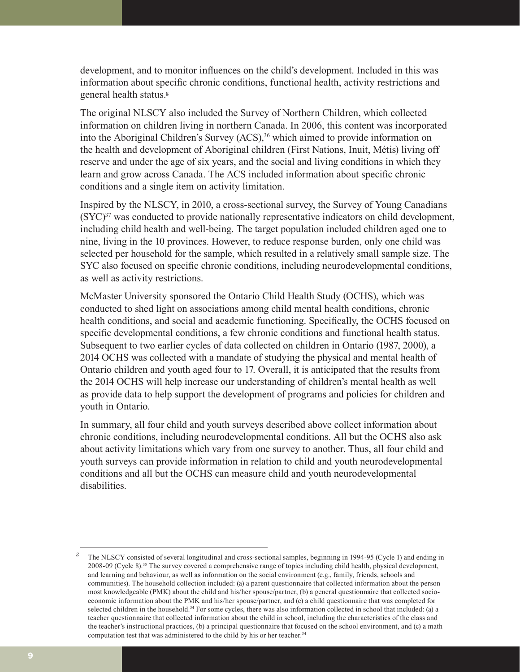development, and to monitor influences on the child's development. Included in this was information about specific chronic conditions, functional health, activity restrictions and general health status.<sup>g</sup>

The original NLSCY also included the Survey of Northern Children, which collected information on children living in northern Canada. In 2006, this content was incorporated into the Aboriginal Children's Survey (ACS),<sup>36</sup> which aimed to provide information on the health and development of Aboriginal children (First Nations, Inuit, Métis) living off reserve and under the age of six years, and the social and living conditions in which they learn and grow across Canada. The ACS included information about specific chronic conditions and a single item on activity limitation.

Inspired by the NLSCY, in 2010, a cross-sectional survey, the Survey of Young Canadians  $(SYC)^{37}$  was conducted to provide nationally representative indicators on child development, including child health and well-being. The target population included children aged one to nine, living in the 10 provinces. However, to reduce response burden, only one child was selected per household for the sample, which resulted in a relatively small sample size. The SYC also focused on specific chronic conditions, including neurodevelopmental conditions, as well as activity restrictions.

McMaster University sponsored the Ontario Child Health Study (OCHS), which was conducted to shed light on associations among child mental health conditions, chronic health conditions, and social and academic functioning. Specifically, the OCHS focused on specific developmental conditions, a few chronic conditions and functional health status. Subsequent to two earlier cycles of data collected on children in Ontario (1987, 2000), a 2014 OCHS was collected with a mandate of studying the physical and mental health of Ontario children and youth aged four to 17. Overall, it is anticipated that the results from the 2014 OCHS will help increase our understanding of children's mental health as well as provide data to help support the development of programs and policies for children and youth in Ontario.

In summary, all four child and youth surveys described above collect information about chronic conditions, including neurodevelopmental conditions. All but the OCHS also ask about activity limitations which vary from one survey to another. Thus, all four child and youth surveys can provide information in relation to child and youth neurodevelopmental conditions and all but the OCHS can measure child and youth neurodevelopmental disabilities.

The NLSCY consisted of several longitudinal and cross-sectional samples, beginning in 1994-95 (Cycle 1) and ending in 2008-09 (Cycle 8).35 The survey covered a comprehensive range of topics including child health, physical development, and learning and behaviour, as well as information on the social environment (e.g., family, friends, schools and communities). The household collection included: (a) a parent questionnaire that collected information about the person most knowledgeable (PMK) about the child and his/her spouse/partner, (b) a general questionnaire that collected socioeconomic information about the PMK and his/her spouse/partner, and (c) a child questionnaire that was completed for selected children in the household.34 For some cycles, there was also information collected in school that included: (a) a teacher questionnaire that collected information about the child in school, including the characteristics of the class and the teacher's instructional practices, (b) a principal questionnaire that focused on the school environment, and (c) a math computation test that was administered to the child by his or her teacher.<sup>34</sup>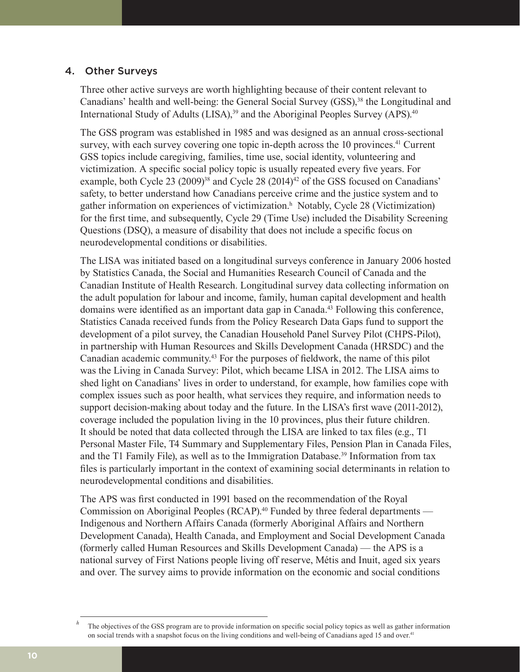## 4. Other Surveys

Three other active surveys are worth highlighting because of their content relevant to Canadians' health and well-being: the General Social Survey (GSS),<sup>38</sup> the Longitudinal and International Study of Adults (LISA),<sup>39</sup> and the Aboriginal Peoples Survey (APS).<sup>40</sup>

The GSS program was established in 1985 and was designed as an annual cross-sectional survey, with each survey covering one topic in-depth across the 10 provinces.<sup>41</sup> Current GSS topics include caregiving, families, time use, social identity, volunteering and victimization. A specific social policy topic is usually repeated every five years. For example, both Cycle 23 (2009)<sup>38</sup> and Cycle 28 (2014)<sup>42</sup> of the GSS focused on Canadians' safety, to better understand how Canadians perceive crime and the justice system and to gather information on experiences of victimization.<sup>h</sup> Notably, Cycle 28 (Victimization) for the first time, and subsequently, Cycle 29 (Time Use) included the Disability Screening Questions (DSQ), a measure of disability that does not include a specific focus on neurodevelopmental conditions or disabilities.

The LISA was initiated based on a longitudinal surveys conference in January 2006 hosted by Statistics Canada, the Social and Humanities Research Council of Canada and the Canadian Institute of Health Research. Longitudinal survey data collecting information on the adult population for labour and income, family, human capital development and health domains were identified as an important data gap in Canada.<sup>43</sup> Following this conference, Statistics Canada received funds from the Policy Research Data Gaps fund to support the development of a pilot survey, the Canadian Household Panel Survey Pilot (CHPS-Pilot), in partnership with Human Resources and Skills Development Canada (HRSDC) and the Canadian academic community.43 For the purposes of fieldwork, the name of this pilot was the Living in Canada Survey: Pilot, which became LISA in 2012. The LISA aims to shed light on Canadians' lives in order to understand, for example, how families cope with complex issues such as poor health, what services they require, and information needs to support decision-making about today and the future. In the LISA's first wave (2011-2012), coverage included the population living in the 10 provinces, plus their future children. It should be noted that data collected through the LISA are linked to tax files (e.g., T1 Personal Master File, T4 Summary and Supplementary Files, Pension Plan in Canada Files, and the T1 Family File), as well as to the Immigration Database.<sup>39</sup> Information from tax files is particularly important in the context of examining social determinants in relation to neurodevelopmental conditions and disabilities.

The APS was first conducted in 1991 based on the recommendation of the Royal Commission on Aboriginal Peoples (RCAP).<sup>40</sup> Funded by three federal departments — Indigenous and Northern Affairs Canada (formerly Aboriginal Affairs and Northern Development Canada), Health Canada, and Employment and Social Development Canada (formerly called Human Resources and Skills Development Canada) — the APS is a national survey of First Nations people living off reserve, Métis and Inuit, aged six years and over. The survey aims to provide information on the economic and social conditions

*<sup>h</sup>* The objectives of the GSS program are to provide information on specific social policy topics as well as gather information on social trends with a snapshot focus on the living conditions and well-being of Canadians aged 15 and over.<sup>41</sup>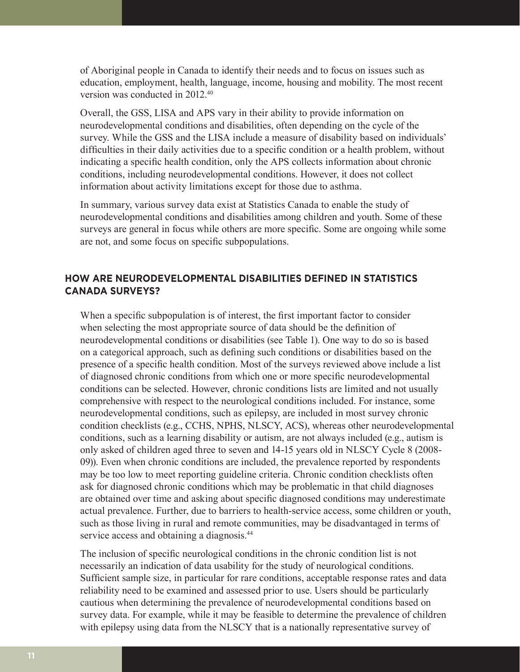of Aboriginal people in Canada to identify their needs and to focus on issues such as education, employment, health, language, income, housing and mobility. The most recent version was conducted in 2012<sup>40</sup>

Overall, the GSS, LISA and APS vary in their ability to provide information on neurodevelopmental conditions and disabilities, often depending on the cycle of the survey. While the GSS and the LISA include a measure of disability based on individuals' difficulties in their daily activities due to a specific condition or a health problem, without indicating a specific health condition, only the APS collects information about chronic conditions, including neurodevelopmental conditions. However, it does not collect information about activity limitations except for those due to asthma.

In summary, various survey data exist at Statistics Canada to enable the study of neurodevelopmental conditions and disabilities among children and youth. Some of these surveys are general in focus while others are more specific. Some are ongoing while some are not, and some focus on specific subpopulations.

## **HOW ARE NEURODEVELOPMENTAL DISABILITIES DEFINED IN STATISTICS CANADA SURVEYS?**

When a specific subpopulation is of interest, the first important factor to consider when selecting the most appropriate source of data should be the definition of neurodevelopmental conditions or disabilities (see Table 1). One way to do so is based on a categorical approach, such as defining such conditions or disabilities based on the presence of a specific health condition. Most of the surveys reviewed above include a list of diagnosed chronic conditions from which one or more specific neurodevelopmental conditions can be selected. However, chronic conditions lists are limited and not usually comprehensive with respect to the neurological conditions included. For instance, some neurodevelopmental conditions, such as epilepsy, are included in most survey chronic condition checklists (e.g., CCHS, NPHS, NLSCY, ACS), whereas other neurodevelopmental conditions, such as a learning disability or autism, are not always included (e.g., autism is only asked of children aged three to seven and 14-15 years old in NLSCY Cycle 8 (2008- 09)). Even when chronic conditions are included, the prevalence reported by respondents may be too low to meet reporting guideline criteria. Chronic condition checklists often ask for diagnosed chronic conditions which may be problematic in that child diagnoses are obtained over time and asking about specific diagnosed conditions may underestimate actual prevalence. Further, due to barriers to health-service access, some children or youth, such as those living in rural and remote communities, may be disadvantaged in terms of service access and obtaining a diagnosis.<sup>44</sup>

The inclusion of specific neurological conditions in the chronic condition list is not necessarily an indication of data usability for the study of neurological conditions. Sufficient sample size, in particular for rare conditions, acceptable response rates and data reliability need to be examined and assessed prior to use. Users should be particularly cautious when determining the prevalence of neurodevelopmental conditions based on survey data. For example, while it may be feasible to determine the prevalence of children with epilepsy using data from the NLSCY that is a nationally representative survey of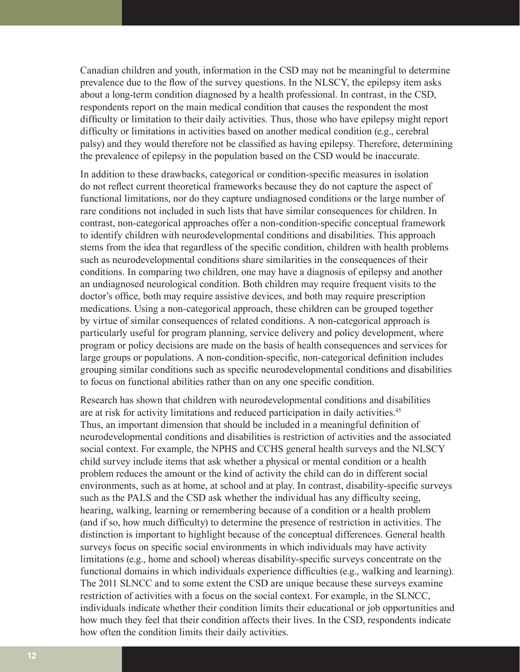Canadian children and youth, information in the CSD may not be meaningful to determine prevalence due to the flow of the survey questions. In the NLSCY, the epilepsy item asks about a long-term condition diagnosed by a health professional. In contrast, in the CSD, respondents report on the main medical condition that causes the respondent the most difficulty or limitation to their daily activities. Thus, those who have epilepsy might report difficulty or limitations in activities based on another medical condition (e.g., cerebral palsy) and they would therefore not be classified as having epilepsy. Therefore, determining the prevalence of epilepsy in the population based on the CSD would be inaccurate.

In addition to these drawbacks, categorical or condition-specific measures in isolation do not reflect current theoretical frameworks because they do not capture the aspect of functional limitations, nor do they capture undiagnosed conditions or the large number of rare conditions not included in such lists that have similar consequences for children. In contrast, non-categorical approaches offer a non-condition-specific conceptual framework to identify children with neurodevelopmental conditions and disabilities. This approach stems from the idea that regardless of the specific condition, children with health problems such as neurodevelopmental conditions share similarities in the consequences of their conditions. In comparing two children, one may have a diagnosis of epilepsy and another an undiagnosed neurological condition. Both children may require frequent visits to the doctor's office, both may require assistive devices, and both may require prescription medications. Using a non-categorical approach, these children can be grouped together by virtue of similar consequences of related conditions. A non-categorical approach is particularly useful for program planning, service delivery and policy development, where program or policy decisions are made on the basis of health consequences and services for large groups or populations. A non-condition-specific, non-categorical definition includes grouping similar conditions such as specific neurodevelopmental conditions and disabilities to focus on functional abilities rather than on any one specific condition.

Research has shown that children with neurodevelopmental conditions and disabilities are at risk for activity limitations and reduced participation in daily activities.<sup>45</sup> Thus, an important dimension that should be included in a meaningful definition of neurodevelopmental conditions and disabilities is restriction of activities and the associated social context. For example, the NPHS and CCHS general health surveys and the NLSCY child survey include items that ask whether a physical or mental condition or a health problem reduces the amount or the kind of activity the child can do in different social environments, such as at home, at school and at play. In contrast, disability-specific surveys such as the PALS and the CSD ask whether the individual has any difficulty seeing, hearing, walking, learning or remembering because of a condition or a health problem (and if so, how much difficulty) to determine the presence of restriction in activities. The distinction is important to highlight because of the conceptual differences. General health surveys focus on specific social environments in which individuals may have activity limitations (e.g., home and school) whereas disability-specific surveys concentrate on the functional domains in which individuals experience difficulties (e.g., walking and learning). The 2011 SLNCC and to some extent the CSD are unique because these surveys examine restriction of activities with a focus on the social context. For example, in the SLNCC, individuals indicate whether their condition limits their educational or job opportunities and how much they feel that their condition affects their lives. In the CSD, respondents indicate how often the condition limits their daily activities.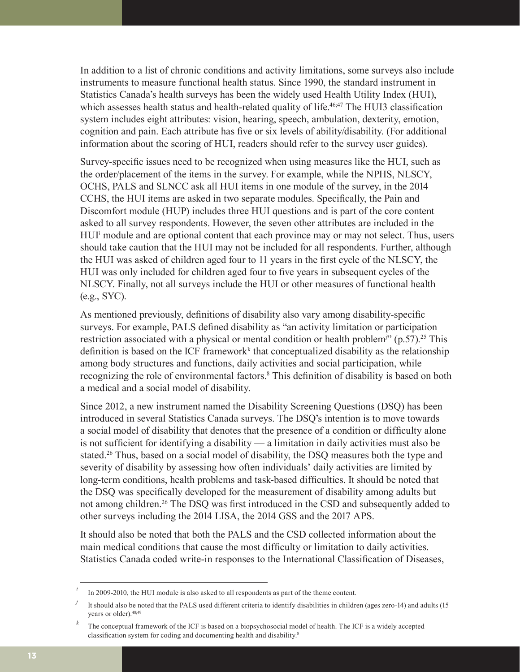In addition to a list of chronic conditions and activity limitations, some surveys also include instruments to measure functional health status. Since 1990, the standard instrument in Statistics Canada's health surveys has been the widely used Health Utility Index (HUI), which assesses health status and health-related quality of life.<sup>46;47</sup> The HUI3 classification system includes eight attributes: vision, hearing, speech, ambulation, dexterity, emotion, cognition and pain. Each attribute has five or six levels of ability/disability. (For additional information about the scoring of HUI, readers should refer to the survey user guides).

Survey-specific issues need to be recognized when using measures like the HUI, such as the order/placement of the items in the survey. For example, while the NPHS, NLSCY, OCHS, PALS and SLNCC ask all HUI items in one module of the survey, in the 2014 CCHS, the HUI items are asked in two separate modules. Specifically, the Pain and Discomfort module (HUP) includes three HUI questions and is part of the core content asked to all survey respondents. However, the seven other attributes are included in the HUI<sup>i</sup> module and are optional content that each province may or may not select. Thus, users should take caution that the HUI may not be included for all respondents. Further, although the HUI was asked of children aged four to 11 years in the first cycle of the NLSCY, the HUI was only included for children aged four to five years in subsequent cycles of the NLSCY. Finally, not all surveys include the HUI or other measures of functional health (e.g., SYC).

As mentioned previously, definitions of disability also vary among disability-specific surveys. For example, PALS defined disability as "an activity limitation or participation restriction associated with a physical or mental condition or health problem<sup>1</sup> (p.57).<sup>25</sup> This definition is based on the ICF framework<sup>k</sup> that conceptualized disability as the relationship among body structures and functions, daily activities and social participation, while recognizing the role of environmental factors.<sup>8</sup> This definition of disability is based on both a medical and a social model of disability.

Since 2012, a new instrument named the Disability Screening Questions (DSQ) has been introduced in several Statistics Canada surveys. The DSQ's intention is to move towards a social model of disability that denotes that the presence of a condition or difficulty alone is not sufficient for identifying a disability — a limitation in daily activities must also be stated.26 Thus, based on a social model of disability, the DSQ measures both the type and severity of disability by assessing how often individuals' daily activities are limited by long-term conditions, health problems and task-based difficulties. It should be noted that the DSQ was specifically developed for the measurement of disability among adults but not among children.<sup>26</sup> The DSQ was first introduced in the CSD and subsequently added to other surveys including the 2014 LISA, the 2014 GSS and the 2017 APS.

It should also be noted that both the PALS and the CSD collected information about the main medical conditions that cause the most difficulty or limitation to daily activities. Statistics Canada coded write-in responses to the International Classification of Diseases,

In 2009-2010, the HUI module is also asked to all respondents as part of the theme content.

It should also be noted that the PALS used different criteria to identify disabilities in children (ages zero-14) and adults (15) years or older).  $48;49$ 

*<sup>k</sup>* The conceptual framework of the ICF is based on a biopsychosocial model of health. The ICF is a widely accepted classification system for coding and documenting health and disability.8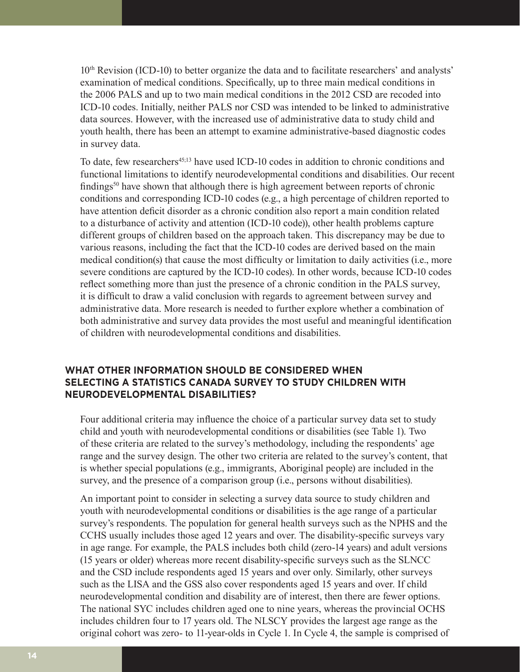10th Revision (ICD-10) to better organize the data and to facilitate researchers' and analysts' examination of medical conditions. Specifically, up to three main medical conditions in the 2006 PALS and up to two main medical conditions in the 2012 CSD are recoded into ICD-10 codes. Initially, neither PALS nor CSD was intended to be linked to administrative data sources. However, with the increased use of administrative data to study child and youth health, there has been an attempt to examine administrative-based diagnostic codes in survey data.

To date, few researchers<sup>45;13</sup> have used ICD-10 codes in addition to chronic conditions and functional limitations to identify neurodevelopmental conditions and disabilities. Our recent findings<sup>50</sup> have shown that although there is high agreement between reports of chronic conditions and corresponding ICD-10 codes (e.g., a high percentage of children reported to have attention deficit disorder as a chronic condition also report a main condition related to a disturbance of activity and attention (ICD-10 code)), other health problems capture different groups of children based on the approach taken. This discrepancy may be due to various reasons, including the fact that the ICD-10 codes are derived based on the main medical condition(s) that cause the most difficulty or limitation to daily activities (i.e., more severe conditions are captured by the ICD-10 codes). In other words, because ICD-10 codes reflect something more than just the presence of a chronic condition in the PALS survey, it is difficult to draw a valid conclusion with regards to agreement between survey and administrative data. More research is needed to further explore whether a combination of both administrative and survey data provides the most useful and meaningful identification of children with neurodevelopmental conditions and disabilities.

## **WHAT OTHER INFORMATION SHOULD BE CONSIDERED WHEN SELECTING A STATISTICS CANADA SURVEY TO STUDY CHILDREN WITH NEURODEVELOPMENTAL DISABILITIES?**

Four additional criteria may influence the choice of a particular survey data set to study child and youth with neurodevelopmental conditions or disabilities (see Table 1). Two of these criteria are related to the survey's methodology, including the respondents' age range and the survey design. The other two criteria are related to the survey's content, that is whether special populations (e.g., immigrants, Aboriginal people) are included in the survey, and the presence of a comparison group (i.e., persons without disabilities).

An important point to consider in selecting a survey data source to study children and youth with neurodevelopmental conditions or disabilities is the age range of a particular survey's respondents. The population for general health surveys such as the NPHS and the CCHS usually includes those aged 12 years and over. The disability-specific surveys vary in age range. For example, the PALS includes both child (zero-14 years) and adult versions (15 years or older) whereas more recent disability-specific surveys such as the SLNCC and the CSD include respondents aged 15 years and over only. Similarly, other surveys such as the LISA and the GSS also cover respondents aged 15 years and over. If child neurodevelopmental condition and disability are of interest, then there are fewer options. The national SYC includes children aged one to nine years, whereas the provincial OCHS includes children four to 17 years old. The NLSCY provides the largest age range as the original cohort was zero- to 11-year-olds in Cycle 1. In Cycle 4, the sample is comprised of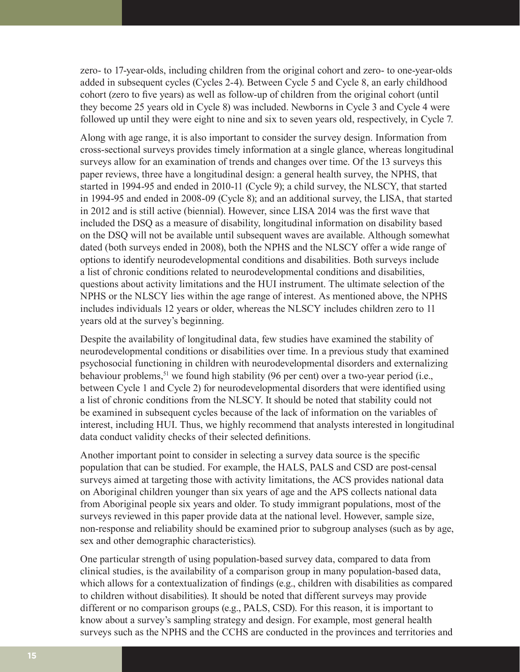zero- to 17-year-olds, including children from the original cohort and zero- to one-year-olds added in subsequent cycles (Cycles 2-4). Between Cycle 5 and Cycle 8, an early childhood cohort (zero to five years) as well as follow-up of children from the original cohort (until they become 25 years old in Cycle 8) was included. Newborns in Cycle 3 and Cycle 4 were followed up until they were eight to nine and six to seven years old, respectively, in Cycle 7.

Along with age range, it is also important to consider the survey design. Information from cross-sectional surveys provides timely information at a single glance, whereas longitudinal surveys allow for an examination of trends and changes over time. Of the 13 surveys this paper reviews, three have a longitudinal design: a general health survey, the NPHS, that started in 1994-95 and ended in 2010-11 (Cycle 9); a child survey, the NLSCY, that started in 1994-95 and ended in 2008-09 (Cycle 8); and an additional survey, the LISA, that started in 2012 and is still active (biennial). However, since LISA 2014 was the first wave that included the DSQ as a measure of disability, longitudinal information on disability based on the DSQ will not be available until subsequent waves are available. Although somewhat dated (both surveys ended in 2008), both the NPHS and the NLSCY offer a wide range of options to identify neurodevelopmental conditions and disabilities. Both surveys include a list of chronic conditions related to neurodevelopmental conditions and disabilities, questions about activity limitations and the HUI instrument. The ultimate selection of the NPHS or the NLSCY lies within the age range of interest. As mentioned above, the NPHS includes individuals 12 years or older, whereas the NLSCY includes children zero to 11 years old at the survey's beginning.

Despite the availability of longitudinal data, few studies have examined the stability of neurodevelopmental conditions or disabilities over time. In a previous study that examined psychosocial functioning in children with neurodevelopmental disorders and externalizing behaviour problems,<sup>51</sup> we found high stability (96 per cent) over a two-year period (i.e., between Cycle 1 and Cycle 2) for neurodevelopmental disorders that were identified using a list of chronic conditions from the NLSCY. It should be noted that stability could not be examined in subsequent cycles because of the lack of information on the variables of interest, including HUI. Thus, we highly recommend that analysts interested in longitudinal data conduct validity checks of their selected definitions.

Another important point to consider in selecting a survey data source is the specific population that can be studied. For example, the HALS, PALS and CSD are post-censal surveys aimed at targeting those with activity limitations, the ACS provides national data on Aboriginal children younger than six years of age and the APS collects national data from Aboriginal people six years and older. To study immigrant populations, most of the surveys reviewed in this paper provide data at the national level. However, sample size, non-response and reliability should be examined prior to subgroup analyses (such as by age, sex and other demographic characteristics).

One particular strength of using population-based survey data, compared to data from clinical studies, is the availability of a comparison group in many population-based data, which allows for a contextualization of findings (e.g., children with disabilities as compared to children without disabilities). It should be noted that different surveys may provide different or no comparison groups (e.g., PALS, CSD). For this reason, it is important to know about a survey's sampling strategy and design. For example, most general health surveys such as the NPHS and the CCHS are conducted in the provinces and territories and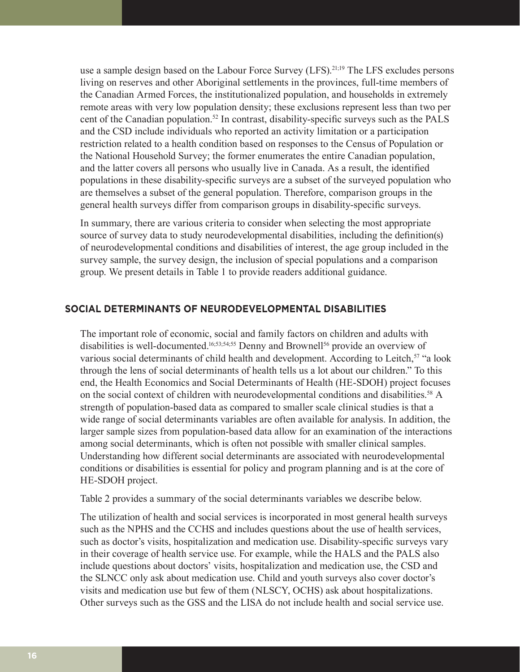use a sample design based on the Labour Force Survey (LFS).<sup>21;19</sup> The LFS excludes persons living on reserves and other Aboriginal settlements in the provinces, full-time members of the Canadian Armed Forces, the institutionalized population, and households in extremely remote areas with very low population density; these exclusions represent less than two per cent of the Canadian population.52 In contrast, disability-specific surveys such as the PALS and the CSD include individuals who reported an activity limitation or a participation restriction related to a health condition based on responses to the Census of Population or the National Household Survey; the former enumerates the entire Canadian population, and the latter covers all persons who usually live in Canada. As a result, the identified populations in these disability-specific surveys are a subset of the surveyed population who are themselves a subset of the general population. Therefore, comparison groups in the general health surveys differ from comparison groups in disability-specific surveys.

In summary, there are various criteria to consider when selecting the most appropriate source of survey data to study neurodevelopmental disabilities, including the definition(s) of neurodevelopmental conditions and disabilities of interest, the age group included in the survey sample, the survey design, the inclusion of special populations and a comparison group. We present details in Table 1 to provide readers additional guidance.

## **SOCIAL DETERMINANTS OF NEURODEVELOPMENTAL DISABILITIES**

The important role of economic, social and family factors on children and adults with disabilities is well-documented.<sup>16;53;54;55</sup> Denny and Brownell<sup>56</sup> provide an overview of various social determinants of child health and development. According to Leitch,<sup>57</sup> "a look through the lens of social determinants of health tells us a lot about our children." To this end, the Health Economics and Social Determinants of Health (HE-SDOH) project focuses on the social context of children with neurodevelopmental conditions and disabilities.58 A strength of population-based data as compared to smaller scale clinical studies is that a wide range of social determinants variables are often available for analysis. In addition, the larger sample sizes from population-based data allow for an examination of the interactions among social determinants, which is often not possible with smaller clinical samples. Understanding how different social determinants are associated with neurodevelopmental conditions or disabilities is essential for policy and program planning and is at the core of HE-SDOH project.

Table 2 provides a summary of the social determinants variables we describe below.

The utilization of health and social services is incorporated in most general health surveys such as the NPHS and the CCHS and includes questions about the use of health services, such as doctor's visits, hospitalization and medication use. Disability-specific surveys vary in their coverage of health service use. For example, while the HALS and the PALS also include questions about doctors' visits, hospitalization and medication use, the CSD and the SLNCC only ask about medication use. Child and youth surveys also cover doctor's visits and medication use but few of them (NLSCY, OCHS) ask about hospitalizations. Other surveys such as the GSS and the LISA do not include health and social service use.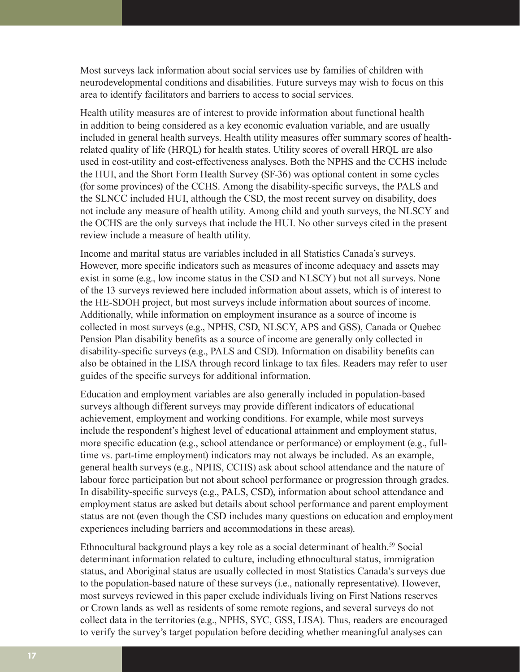Most surveys lack information about social services use by families of children with neurodevelopmental conditions and disabilities. Future surveys may wish to focus on this area to identify facilitators and barriers to access to social services.

Health utility measures are of interest to provide information about functional health in addition to being considered as a key economic evaluation variable, and are usually included in general health surveys. Health utility measures offer summary scores of healthrelated quality of life (HRQL) for health states. Utility scores of overall HRQL are also used in cost-utility and cost-effectiveness analyses. Both the NPHS and the CCHS include the HUI, and the Short Form Health Survey (SF-36) was optional content in some cycles (for some provinces) of the CCHS. Among the disability-specific surveys, the PALS and the SLNCC included HUI, although the CSD, the most recent survey on disability, does not include any measure of health utility. Among child and youth surveys, the NLSCY and the OCHS are the only surveys that include the HUI. No other surveys cited in the present review include a measure of health utility.

Income and marital status are variables included in all Statistics Canada's surveys. However, more specific indicators such as measures of income adequacy and assets may exist in some (e.g., low income status in the CSD and NLSCY) but not all surveys. None of the 13 surveys reviewed here included information about assets, which is of interest to the HE-SDOH project, but most surveys include information about sources of income. Additionally, while information on employment insurance as a source of income is collected in most surveys (e.g., NPHS, CSD, NLSCY, APS and GSS), Canada or Quebec Pension Plan disability benefits as a source of income are generally only collected in disability-specific surveys (e.g., PALS and CSD). Information on disability benefits can also be obtained in the LISA through record linkage to tax files. Readers may refer to user guides of the specific surveys for additional information.

Education and employment variables are also generally included in population-based surveys although different surveys may provide different indicators of educational achievement, employment and working conditions. For example, while most surveys include the respondent's highest level of educational attainment and employment status, more specific education (e.g., school attendance or performance) or employment (e.g., fulltime vs. part-time employment) indicators may not always be included. As an example, general health surveys (e.g., NPHS, CCHS) ask about school attendance and the nature of labour force participation but not about school performance or progression through grades. In disability-specific surveys (e.g., PALS, CSD), information about school attendance and employment status are asked but details about school performance and parent employment status are not (even though the CSD includes many questions on education and employment experiences including barriers and accommodations in these areas).

Ethnocultural background plays a key role as a social determinant of health.<sup>59</sup> Social determinant information related to culture, including ethnocultural status, immigration status, and Aboriginal status are usually collected in most Statistics Canada's surveys due to the population-based nature of these surveys (i.e., nationally representative). However, most surveys reviewed in this paper exclude individuals living on First Nations reserves or Crown lands as well as residents of some remote regions, and several surveys do not collect data in the territories (e.g., NPHS, SYC, GSS, LISA). Thus, readers are encouraged to verify the survey's target population before deciding whether meaningful analyses can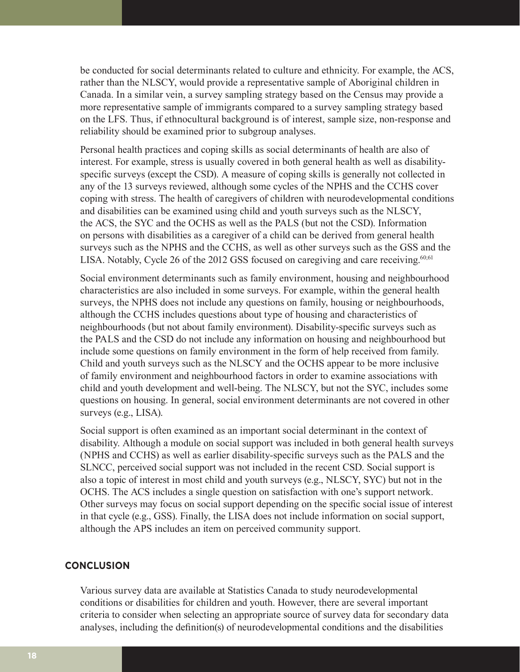be conducted for social determinants related to culture and ethnicity. For example, the ACS, rather than the NLSCY, would provide a representative sample of Aboriginal children in Canada. In a similar vein, a survey sampling strategy based on the Census may provide a more representative sample of immigrants compared to a survey sampling strategy based on the LFS. Thus, if ethnocultural background is of interest, sample size, non-response and reliability should be examined prior to subgroup analyses.

Personal health practices and coping skills as social determinants of health are also of interest. For example, stress is usually covered in both general health as well as disabilityspecific surveys (except the CSD). A measure of coping skills is generally not collected in any of the 13 surveys reviewed, although some cycles of the NPHS and the CCHS cover coping with stress. The health of caregivers of children with neurodevelopmental conditions and disabilities can be examined using child and youth surveys such as the NLSCY, the ACS, the SYC and the OCHS as well as the PALS (but not the CSD). Information on persons with disabilities as a caregiver of a child can be derived from general health surveys such as the NPHS and the CCHS, as well as other surveys such as the GSS and the LISA. Notably, Cycle 26 of the 2012 GSS focused on caregiving and care receiving.<sup>60;61</sup>

Social environment determinants such as family environment, housing and neighbourhood characteristics are also included in some surveys. For example, within the general health surveys, the NPHS does not include any questions on family, housing or neighbourhoods, although the CCHS includes questions about type of housing and characteristics of neighbourhoods (but not about family environment). Disability-specific surveys such as the PALS and the CSD do not include any information on housing and neighbourhood but include some questions on family environment in the form of help received from family. Child and youth surveys such as the NLSCY and the OCHS appear to be more inclusive of family environment and neighbourhood factors in order to examine associations with child and youth development and well-being. The NLSCY, but not the SYC, includes some questions on housing. In general, social environment determinants are not covered in other surveys (e.g., LISA).

Social support is often examined as an important social determinant in the context of disability. Although a module on social support was included in both general health surveys (NPHS and CCHS) as well as earlier disability-specific surveys such as the PALS and the SLNCC, perceived social support was not included in the recent CSD. Social support is also a topic of interest in most child and youth surveys (e.g., NLSCY, SYC) but not in the OCHS. The ACS includes a single question on satisfaction with one's support network. Other surveys may focus on social support depending on the specific social issue of interest in that cycle (e.g., GSS). Finally, the LISA does not include information on social support, although the APS includes an item on perceived community support.

## **CONCLUSION**

Various survey data are available at Statistics Canada to study neurodevelopmental conditions or disabilities for children and youth. However, there are several important criteria to consider when selecting an appropriate source of survey data for secondary data analyses, including the definition(s) of neurodevelopmental conditions and the disabilities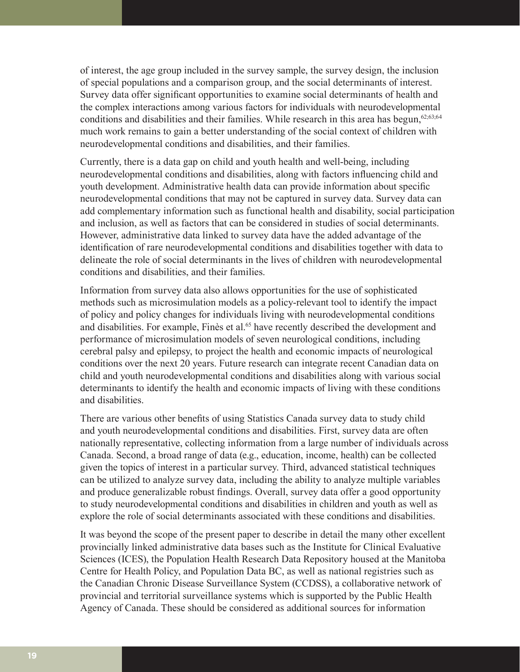of interest, the age group included in the survey sample, the survey design, the inclusion of special populations and a comparison group, and the social determinants of interest. Survey data offer significant opportunities to examine social determinants of health and the complex interactions among various factors for individuals with neurodevelopmental conditions and disabilities and their families. While research in this area has begun, $62,63,64$ much work remains to gain a better understanding of the social context of children with neurodevelopmental conditions and disabilities, and their families.

Currently, there is a data gap on child and youth health and well-being, including neurodevelopmental conditions and disabilities, along with factors influencing child and youth development. Administrative health data can provide information about specific neurodevelopmental conditions that may not be captured in survey data. Survey data can add complementary information such as functional health and disability, social participation and inclusion, as well as factors that can be considered in studies of social determinants. However, administrative data linked to survey data have the added advantage of the identification of rare neurodevelopmental conditions and disabilities together with data to delineate the role of social determinants in the lives of children with neurodevelopmental conditions and disabilities, and their families.

Information from survey data also allows opportunities for the use of sophisticated methods such as microsimulation models as a policy-relevant tool to identify the impact of policy and policy changes for individuals living with neurodevelopmental conditions and disabilities. For example, Finès et al.<sup>65</sup> have recently described the development and performance of microsimulation models of seven neurological conditions, including cerebral palsy and epilepsy, to project the health and economic impacts of neurological conditions over the next 20 years. Future research can integrate recent Canadian data on child and youth neurodevelopmental conditions and disabilities along with various social determinants to identify the health and economic impacts of living with these conditions and disabilities.

There are various other benefits of using Statistics Canada survey data to study child and youth neurodevelopmental conditions and disabilities. First, survey data are often nationally representative, collecting information from a large number of individuals across Canada. Second, a broad range of data (e.g., education, income, health) can be collected given the topics of interest in a particular survey. Third, advanced statistical techniques can be utilized to analyze survey data, including the ability to analyze multiple variables and produce generalizable robust findings. Overall, survey data offer a good opportunity to study neurodevelopmental conditions and disabilities in children and youth as well as explore the role of social determinants associated with these conditions and disabilities.

It was beyond the scope of the present paper to describe in detail the many other excellent provincially linked administrative data bases such as the Institute for Clinical Evaluative Sciences (ICES), the Population Health Research Data Repository housed at the Manitoba Centre for Health Policy, and Population Data BC, as well as national registries such as the Canadian Chronic Disease Surveillance System (CCDSS), a collaborative network of provincial and territorial surveillance systems which is supported by the Public Health Agency of Canada. These should be considered as additional sources for information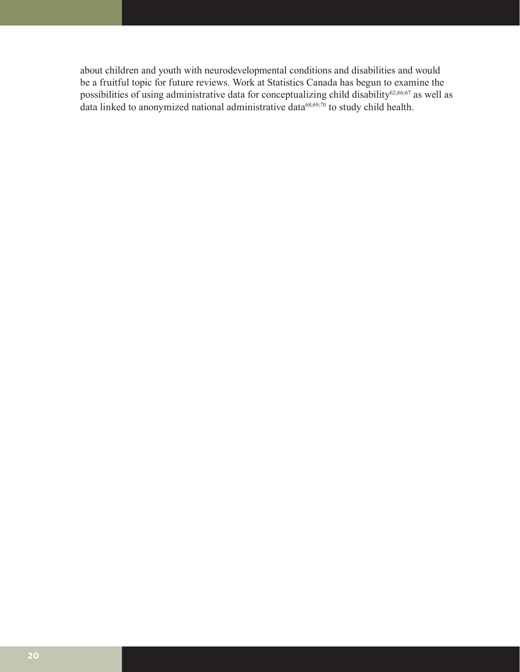about children and youth with neurodevelopmental conditions and disabilities and would be a fruitful topic for future reviews. Work at Statistics Canada has begun to examine the possibilities of using administrative data for conceptualizing child disability<sup>62;66;67</sup> as well as data linked to anonymized national administrative data68;69;70 to study child health.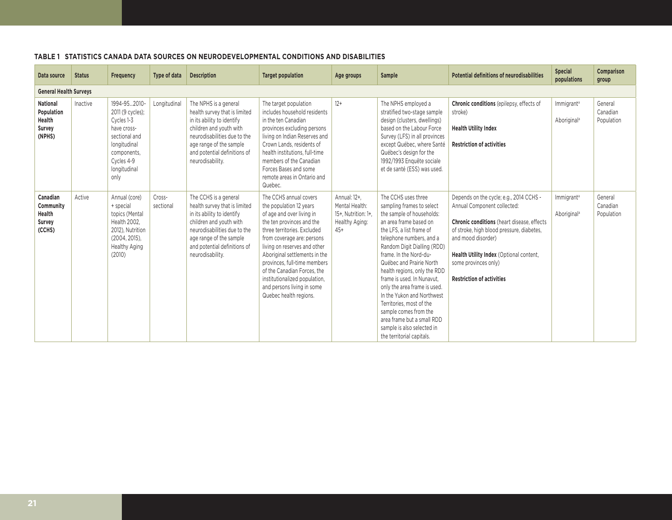| Data source                                                        | <b>Status</b> | Frequency                                                                                                                                             | Type of data        | <b>Description</b>                                                                                                                                                                                                             | <b>Target population</b>                                                                                                                                                                                                                                                                                                                                                                          | Age groups                                                                       | Sample                                                                                                                                                                                                                                                                                                                                                                                                                                                                                                                         | <b>Potential definitions of neurodisabilities</b>                                                                                                                                                                                                                                                     | <b>Special</b><br>populations                     | <b>Comparison</b><br>group        |
|--------------------------------------------------------------------|---------------|-------------------------------------------------------------------------------------------------------------------------------------------------------|---------------------|--------------------------------------------------------------------------------------------------------------------------------------------------------------------------------------------------------------------------------|---------------------------------------------------------------------------------------------------------------------------------------------------------------------------------------------------------------------------------------------------------------------------------------------------------------------------------------------------------------------------------------------------|----------------------------------------------------------------------------------|--------------------------------------------------------------------------------------------------------------------------------------------------------------------------------------------------------------------------------------------------------------------------------------------------------------------------------------------------------------------------------------------------------------------------------------------------------------------------------------------------------------------------------|-------------------------------------------------------------------------------------------------------------------------------------------------------------------------------------------------------------------------------------------------------------------------------------------------------|---------------------------------------------------|-----------------------------------|
| <b>General Health Surveys</b>                                      |               |                                                                                                                                                       |                     |                                                                                                                                                                                                                                |                                                                                                                                                                                                                                                                                                                                                                                                   |                                                                                  |                                                                                                                                                                                                                                                                                                                                                                                                                                                                                                                                |                                                                                                                                                                                                                                                                                                       |                                                   |                                   |
| <b>National</b><br>Population<br>Health<br><b>Survey</b><br>(NPHS) | Inactive      | 1994-95  2010-<br>2011 (9 cycles);<br>Cycles 1-3<br>have cross-<br>sectional and<br>longitudinal<br>components,<br>Cycles 4-9<br>longitudinal<br>only | Longitudinal        | The NPHS is a general<br>health survey that is limited<br>in its ability to identify<br>children and youth with<br>neurodisabilities due to the<br>age range of the sample<br>and potential definitions of<br>neurodisability. | The target population<br>includes household residents<br>in the ten Canadian<br>provinces excluding persons<br>living on Indian Reserves and<br>Crown Lands, residents of<br>health institutions, full-time<br>members of the Canadian<br>Forces Bases and some<br>remote areas in Ontario and<br>Quebec.                                                                                         | $12+$                                                                            | The NPHS employed a<br>stratified two-stage sample<br>design (clusters, dwellings)<br>based on the Labour Force<br>Survey (LFS) in all provinces<br>except Québec, where Santé<br>Québec's design for the<br>1992/1993 Enquête sociale<br>et de santé (ESS) was used.                                                                                                                                                                                                                                                          | Chronic conditions (epilepsy, effects of<br>stroke)<br><b>Health Utility Index</b><br><b>Restriction of activities</b>                                                                                                                                                                                | Immigrant <sup>a</sup><br>Aboriginal <sup>a</sup> | General<br>Canadian<br>Population |
| Canadian<br>Community<br><b>Health</b><br>Survey<br>(CCHS)         | Active        | Annual (core)<br>+ special<br>topics (Mental<br>Health 2002.<br>2012), Nutrition<br>(2004, 2015),<br><b>Healthy Aging</b><br>(2010)                   | Cross-<br>sectional | The CCHS is a general<br>health survey that is limited<br>in its ability to identify<br>children and youth with<br>neurodisabilities due to the<br>age range of the sample<br>and potential definitions of<br>neurodisability. | The CCHS annual covers<br>the population 12 years<br>of age and over living in<br>the ten provinces and the<br>three territories. Excluded<br>from coverage are: persons<br>living on reserves and other<br>Aboriginal settlements in the<br>provinces, full-time members<br>of the Canadian Forces, the<br>institutionalized population,<br>and persons living in some<br>Quebec health regions. | Annual: 12+,<br>Mental Health:<br>15+. Nutrition: 1+.<br>Healthy Aging:<br>$45+$ | The CCHS uses three<br>sampling frames to select<br>the sample of households:<br>an area frame based on<br>the LFS, a list frame of<br>telephone numbers, and a<br>Random Digit Dialling (RDD)<br>frame. In the Nord-du-<br>Québec and Prairie North<br>health regions, only the RDD<br>frame is used. In Nunavut.<br>only the area frame is used.<br>In the Yukon and Northwest<br>Territories, most of the<br>sample comes from the<br>area frame but a small RDD<br>sample is also selected in<br>the territorial capitals. | Depends on the cycle; e.g., 2014 CCHS -<br>Annual Component collected:<br><b>Chronic conditions</b> (heart disease, effects<br>of stroke, high blood pressure, diabetes,<br>and mood disorder)<br>Health Utility Index (Optional content,<br>some provinces only)<br><b>Restriction of activities</b> | Immigrant <sup>a</sup><br>Aboriginal <sup>a</sup> | General<br>Canadian<br>Population |

#### **TABLE 1 STATISTICS CANADA DATA SOURCES ON NEURODEVELOPMENTAL CONDITIONS AND DISABILITIES**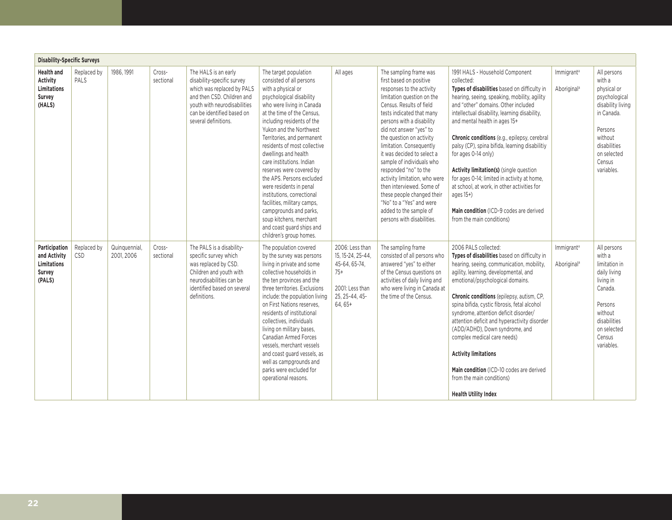|                                                                         | <b>Disability-Specific Surveys</b> |                            |                     |                                                                                                                                                                                                      |                                                                                                                                                                                                                                                                                                                                                                                                                                                                                                                                                                                                          |                                                                                                              |                                                                                                                                                                                                                                                                                                                                                                                                                                                                                                                                                           |                                                                                                                                                                                                                                                                                                                                                                                                                                                                                                                                                                                                                               |                                                   |                                                                                                                                                                       |  |  |
|-------------------------------------------------------------------------|------------------------------------|----------------------------|---------------------|------------------------------------------------------------------------------------------------------------------------------------------------------------------------------------------------------|----------------------------------------------------------------------------------------------------------------------------------------------------------------------------------------------------------------------------------------------------------------------------------------------------------------------------------------------------------------------------------------------------------------------------------------------------------------------------------------------------------------------------------------------------------------------------------------------------------|--------------------------------------------------------------------------------------------------------------|-----------------------------------------------------------------------------------------------------------------------------------------------------------------------------------------------------------------------------------------------------------------------------------------------------------------------------------------------------------------------------------------------------------------------------------------------------------------------------------------------------------------------------------------------------------|-------------------------------------------------------------------------------------------------------------------------------------------------------------------------------------------------------------------------------------------------------------------------------------------------------------------------------------------------------------------------------------------------------------------------------------------------------------------------------------------------------------------------------------------------------------------------------------------------------------------------------|---------------------------------------------------|-----------------------------------------------------------------------------------------------------------------------------------------------------------------------|--|--|
| <b>Health and</b><br><b>Activity</b><br>Limitations<br>Survey<br>(HALS) | Replaced by<br>PALS                | 1986, 1991                 | Cross-<br>sectional | The HALS is an early<br>disability-specific survey<br>which was replaced by PALS<br>and then CSD. Children and<br>vouth with neurodisabilities<br>can be identified based on<br>several definitions. | The target population<br>consisted of all persons<br>with a physical or<br>psychological disability<br>who were living in Canada<br>at the time of the Census,<br>including residents of the<br>Yukon and the Northwest<br>Territories, and permanent<br>residents of most collective<br>dwellings and health<br>care institutions. Indian<br>reserves were covered by<br>the APS. Persons excluded<br>were residents in penal<br>institutions, correctional<br>facilities, military camps,<br>campgrounds and parks,<br>soup kitchens, merchant<br>and coast guard ships and<br>children's group homes. | All ages                                                                                                     | The sampling frame was<br>first based on positive<br>responses to the activity<br>limitation question on the<br>Census. Results of field<br>tests indicated that many<br>persons with a disability<br>did not answer "yes" to<br>the question on activity<br>limitation. Consequently<br>it was decided to select a<br>sample of individuals who<br>responded "no" to the<br>activity limitation, who were<br>then interviewed. Some of<br>these people changed their<br>"No" to a "Yes" and were<br>added to the sample of<br>persons with disabilities. | 1991 HALS - Household Component<br>collected:<br>Types of disabilities based on difficulty in<br>hearing, seeing, speaking, mobility, agility<br>and "other" domains. Other included<br>intellectual disability, learning disability,<br>and mental health in ages 15+<br>Chronic conditions (e.g., epilepsy, cerebral<br>palsy (CP), spina bifida, learning disabilitiy<br>for ages 0-14 only)<br>Activity limitation(s) (single question<br>for ages 0-14; limited in activity at home,<br>at school, at work, in other activities for<br>ages 15+)<br>Main condition (ICD-9 codes are derived<br>from the main conditions) | Immigrant <sup>a</sup><br>Aboriginal <sup>a</sup> | All persons<br>with a<br>physical or<br>psychological<br>disability living<br>in Canada.<br>Persons<br>without<br>disabilities<br>on selected<br>Census<br>variables. |  |  |
| Participation<br>and Activity<br>Limitations<br>Survey<br>(PALS)        | Replaced by<br>CSD                 | Quinquennial,<br>2001.2006 | Cross-<br>sectional | The PALS is a disability-<br>specific survey which<br>was replaced by CSD.<br>Children and youth with<br>neurodisabilities can be<br>identified based on several<br>definitions.                     | The population covered<br>by the survey was persons<br>living in private and some<br>collective households in<br>the ten provinces and the<br>three territories. Exclusions<br>include: the population living<br>on First Nations reserves.<br>residents of institutional<br>collectives, individuals<br>living on military bases,<br><b>Canadian Armed Forces</b><br>vessels, merchant vessels<br>and coast guard vessels, as<br>well as campgrounds and<br>parks were excluded for<br>operational reasons.                                                                                             | 2006: Less than<br>15. 15-24. 25-44.<br>45-64, 65-74,<br>$75+$<br>2001: Less than<br>25.25-44.45-<br>64, 65+ | The sampling frame<br>consisted of all persons who<br>answered "yes" to either<br>of the Census questions on<br>activities of daily living and<br>who were living in Canada at<br>the time of the Census.                                                                                                                                                                                                                                                                                                                                                 | 2006 PALS collected:<br>Types of disabilities based on difficulty in<br>hearing, seeing, communication, mobility,<br>agility, learning, developmental, and<br>emotional/psychological domains.<br>Chronic conditions (epilepsy, autism, CP,<br>spina bifida, cystic fibrosis, fetal alcohol<br>syndrome, attention deficit disorder/<br>attention deficit and hyperactivity disorder<br>(ADD/ADHD), Down syndrome, and<br>complex medical care needs)<br><b>Activity limitations</b><br>Main condition (ICD-10 codes are derived<br>from the main conditions)<br><b>Health Utility Index</b>                                  | Immigrant <sup>a</sup><br>Aboriginal <sup>a</sup> | All persons<br>with a<br>limitation in<br>daily living<br>living in<br>Canada.<br>Persons<br>without<br>disabilities<br>on selected<br>Census<br>variables.           |  |  |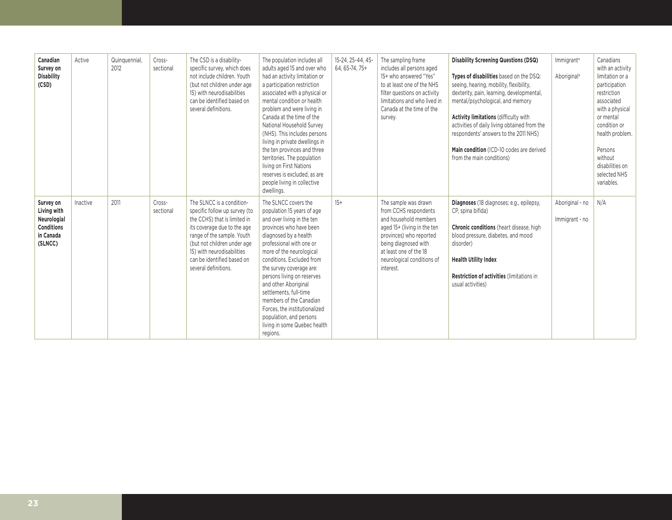| Canadian<br>Survey on<br><b>Disability</b><br>(CSD)                                  | Active   | Quinquennial,<br>2012 | Cross-<br>sectional | The CSD is a disability-<br>specific survey, which does<br>not include children. Youth<br>(but not children under age<br>15) with neurodisabilities<br>can be identified based on<br>several definitions.                                                                  | The population includes all<br>adults aged 15 and over who<br>had an activity limitation or<br>a participation restriction<br>associated with a physical or<br>mental condition or health<br>problem and were living in<br>Canada at the time of the<br>National Household Survey<br>(NHS). This includes persons<br>living in private dwellings in<br>the ten provinces and three<br>territories. The population<br>living on First Nations<br>reserves is excluded, as are<br>people living in collective<br>dwellings. | 15-24, 25-44, 45-<br>64, 65-74, 75+ | The sampling frame<br>includes all persons aged<br>15+ who answered "Yes"<br>to at least one of the NHS<br>filter questions on activity<br>limitations and who lived in<br>Canada at the time of the<br>survey.               | <b>Disability Screening Questions (DSQ)</b><br>Types of disabilities based on the DSQ:<br>seeing, hearing, mobility, flexibility,<br>dexterity, pain, learning, developmental,<br>mental/psychological, and memory<br>Activity limitations (difficulty with<br>activities of daily living obtained from the<br>respondents' answers to the 2011 NHS)<br>Main condition (ICD-10 codes are derived<br>from the main conditions) | Immigrant <sup>a</sup><br>Aboriginal <sup>a</sup> | Canadians<br>with an activity<br>limitation or a<br>participation<br>restriction<br>associated<br>with a physical<br>or mental<br>condition or<br>health problem.<br>Persons<br>without<br>disabilities on<br>selected NHS<br>variables. |
|--------------------------------------------------------------------------------------|----------|-----------------------|---------------------|----------------------------------------------------------------------------------------------------------------------------------------------------------------------------------------------------------------------------------------------------------------------------|---------------------------------------------------------------------------------------------------------------------------------------------------------------------------------------------------------------------------------------------------------------------------------------------------------------------------------------------------------------------------------------------------------------------------------------------------------------------------------------------------------------------------|-------------------------------------|-------------------------------------------------------------------------------------------------------------------------------------------------------------------------------------------------------------------------------|-------------------------------------------------------------------------------------------------------------------------------------------------------------------------------------------------------------------------------------------------------------------------------------------------------------------------------------------------------------------------------------------------------------------------------|---------------------------------------------------|------------------------------------------------------------------------------------------------------------------------------------------------------------------------------------------------------------------------------------------|
| Survey on<br>Living with<br>Neurologial<br><b>Conditions</b><br>in Canada<br>(SLNCC) | Inactive | 2011                  | Cross-<br>sectional | The SLNCC is a condition-<br>specific follow up survey (to<br>the CCHS) that is limited in<br>its coverage due to the age<br>range of the sample. Youth<br>(but not children under age<br>15) with neurodisabilities<br>can be identified based on<br>several definitions. | The SLNCC covers the<br>population 15 years of age<br>and over living in the ten<br>provinces who have been<br>diagnosed by a health<br>professional with one or<br>more of the neurological<br>conditions. Excluded from<br>the survey coverage are:<br>persons living on reserves<br>and other Aboriginal<br>settlements, full-time<br>members of the Canadian<br>Forces, the institutionalized<br>population, and persons<br>living in some Quebec health<br>regions.                                                  | $15+$                               | The sample was drawn<br>from CCHS respondents<br>and household members<br>aged 15+ (living in the ten<br>provinces) who reported<br>being diagnosed with<br>at least one of the 18<br>neurological conditions of<br>interest. | Diagnoses (18 diagnoses; e.g., epilepsy,<br>CP, spina bifida)<br>Chronic conditions (heart disease, high<br>blood pressure, diabetes, and mood<br>disorder)<br><b>Health Utility Index</b><br><b>Restriction of activities (limitations in)</b><br>usual activities)                                                                                                                                                          | Aboriginal - no<br>Immigrant - no                 | N/A                                                                                                                                                                                                                                      |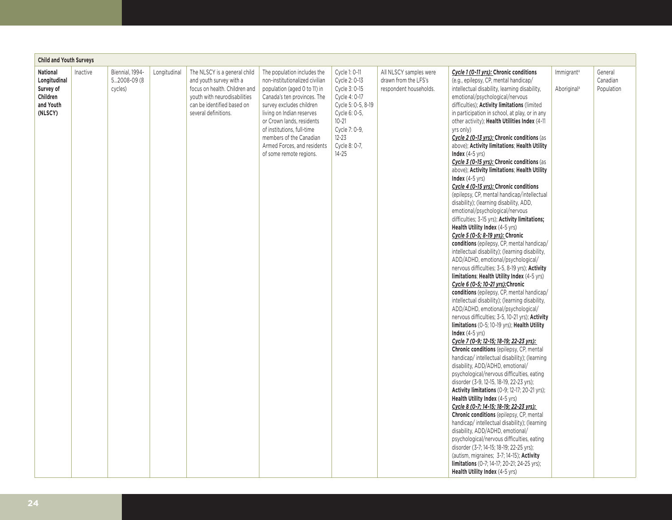| <b>National</b><br>Biennial, 1994-<br>Longitudinal<br>Cycle 1: 0-11<br>Inactive<br>The NLSCY is a general child<br>The population includes the<br>All NLSCY samples were<br>Cycle 1 (0-11 yrs): Chronic conditions<br>Immigrant <sup>a</sup><br>General<br>Longitudinal<br>52008-09 (8<br>Cycle 2: 0-13<br>Canadian<br>and youth survey with a<br>non-institutionalized civilian<br>drawn from the LFS's<br>(e.g., epilepsy, CP, mental handicap/<br>Survey of<br>focus on health. Children and<br>Cycle 3: 0-15<br>respondent households.<br>intellectual disability, learning disability,<br>Population<br>cycles)<br>population (aged 0 to 11) in<br>Aboriginal <sup>a</sup><br>Children<br>youth with neurodisabilities<br>Canada's ten provinces. The<br>Cycle 4: 0-17<br>emotional/psychological/nervous<br>and Youth<br>can be identified based on<br>Cycle 5: 0-5, 8-19<br>survey excludes children<br>difficulties); Activity limitations (limited<br>(NLSCY)<br>several definitions.<br>living on Indian reserves<br>Cycle 6: 0-5,<br>in participation in school, at play, or in any<br>or Crown lands, residents<br>other activity); Health Utilities Index (4-11<br>$10 - 21$<br>of institutions, full-time<br>Cycle 7: 0-9,<br>yrs only)<br>members of the Canadian<br>$12 - 23$<br>Cycle 2 (0-13 yrs): Chronic conditions (as<br>Armed Forces, and residents<br>Cycle 8: 0-7,<br>above); Activity limitations; Health Utility<br>of some remote regions.<br>$14 - 25$<br><b>Index</b> $(4-5 \text{ yrs})$<br>Cycle 3 (0-15 yrs): Chronic conditions (as<br>above); Activity limitations; Health Utility<br>Index $(4-5$ yrs)<br>Cycle 4 (0-15 yrs): Chronic conditions<br>(epilepsy, CP, mental handicap/intellectual<br>disability); (learning disability, ADD,<br>emotional/psychological/nervous<br>difficulties; 3-15 yrs); Activity limitations;<br>Health Utility Index (4-5 yrs)<br>Cycle 5 (0-5; 8-19 yrs); Chronic<br>conditions (epilepsy, CP, mental handicap/<br>intellectual disability); (learning disability,<br>ADD/ADHD, emotional/psychological/<br>nervous difficulties; 3-5, 8-19 yrs); Activity<br>limitations; Health Utility Index (4-5 yrs)<br>Cycle 6 (0-5; 10-21 yrs): Chronic<br>conditions (epilepsy, CP, mental handicap/<br>intellectual disability); (learning disability,<br>ADD/ADHD, emotional/psychological/<br>nervous difficulties; 3-5, 10-21 yrs); Activity<br>limitations (0-5; 10-19 yrs); Health Utility<br><b>Index</b> $(4-5 \text{ yrs})$<br>Cycle 7 (0-9; 12-15; 18-19; 22-23 yrs):<br>Chronic conditions (epilepsy, CP, mental<br>handicap/intellectual disability); (learning<br>disability, ADD/ADHD, emotional/<br>psychological/nervous difficulties, eating<br>disorder (3-9, 12-15, 18-19, 22-23 yrs);<br><b>Activity limitations</b> (0-9; 12-17; 20-21 yrs);<br>Health Utility Index (4-5 yrs)<br>Cycle 8 (0-7; 14-15; 18-19; 22-23 yrs):<br>Chronic conditions (epilepsy, CP, mental<br>handicap/intellectual disability); (learning<br>disability, ADD/ADHD, emotional/<br>psychological/nervous difficulties, eating<br>disorder (3-7; 14-15; 18-19; 22-25 yrs);<br>(autism, migraines; 3-7; 14-15); Activity<br><b>limitations</b> (0-7; 14-17; 20-21; 24-25 yrs); |
|---------------------------------------------------------------------------------------------------------------------------------------------------------------------------------------------------------------------------------------------------------------------------------------------------------------------------------------------------------------------------------------------------------------------------------------------------------------------------------------------------------------------------------------------------------------------------------------------------------------------------------------------------------------------------------------------------------------------------------------------------------------------------------------------------------------------------------------------------------------------------------------------------------------------------------------------------------------------------------------------------------------------------------------------------------------------------------------------------------------------------------------------------------------------------------------------------------------------------------------------------------------------------------------------------------------------------------------------------------------------------------------------------------------------------------------------------------------------------------------------------------------------------------------------------------------------------------------------------------------------------------------------------------------------------------------------------------------------------------------------------------------------------------------------------------------------------------------------------------------------------------------------------------------------------------------------------------------------------------------------------------------------------------------------------------------------------------------------------------------------------------------------------------------------------------------------------------------------------------------------------------------------------------------------------------------------------------------------------------------------------------------------------------------------------------------------------------------------------------------------------------------------------------------------------------------------------------------------------------------------------------------------------------------------------------------------------------------------------------------------------------------------------------------------------------------------------------------------------------------------------------------------------------------------------------------------------------------------------------------------------------------------------------------------------------------------------------------------------------------------------------------------------------------------------------------------------------------------------------------------|
|                                                                                                                                                                                                                                                                                                                                                                                                                                                                                                                                                                                                                                                                                                                                                                                                                                                                                                                                                                                                                                                                                                                                                                                                                                                                                                                                                                                                                                                                                                                                                                                                                                                                                                                                                                                                                                                                                                                                                                                                                                                                                                                                                                                                                                                                                                                                                                                                                                                                                                                                                                                                                                                                                                                                                                                                                                                                                                                                                                                                                                                                                                                                                                                                                                             |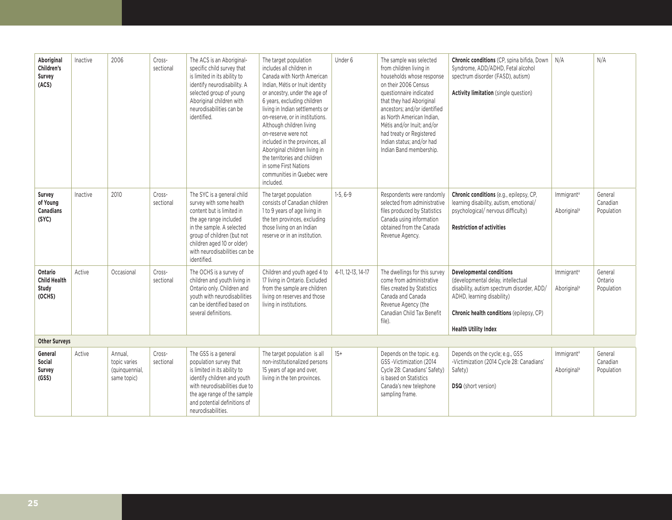| Aboriginal<br>Children's<br><b>Survey</b><br>(ACS)     | Inactive | 2006                                                     | Cross-<br>sectional | The ACS is an Aboriginal-<br>specific child survey that<br>is limited in its ability to<br>identify neurodisability. A<br>selected group of young<br>Aboriginal children with<br>neurodisabilities can be<br>identified.                              | The target population<br>includes all children in<br>Canada with North American<br>Indian, Métis or Inuit identity<br>or ancestry, under the age of<br>6 years, excluding children<br>living in Indian settlements or<br>on-reserve, or in institutions.<br>Although children living<br>on-reserve were not<br>included in the provinces, all<br>Aboriginal children living in<br>the territories and children<br>in some First Nations<br>communities in Quebec were<br>included. | Under 6            | The sample was selected<br>from children living in<br>households whose response<br>on their 2006 Census<br>questionnaire indicated<br>that they had Aboriginal<br>ancestors; and/or identified<br>as North American Indian.<br>Métis and/or Inuit; and/or<br>had treaty or Registered<br>Indian status; and/or had<br>Indian Band membership. | Chronic conditions (CP, spina bifida, Down<br>Syndrome, ADD/ADHD, Fetal alcohol<br>spectrum disorder (FASD), autism)<br>Activity limitation (single question)                                                                | N/A                                               | N/A                               |
|--------------------------------------------------------|----------|----------------------------------------------------------|---------------------|-------------------------------------------------------------------------------------------------------------------------------------------------------------------------------------------------------------------------------------------------------|------------------------------------------------------------------------------------------------------------------------------------------------------------------------------------------------------------------------------------------------------------------------------------------------------------------------------------------------------------------------------------------------------------------------------------------------------------------------------------|--------------------|-----------------------------------------------------------------------------------------------------------------------------------------------------------------------------------------------------------------------------------------------------------------------------------------------------------------------------------------------|------------------------------------------------------------------------------------------------------------------------------------------------------------------------------------------------------------------------------|---------------------------------------------------|-----------------------------------|
| <b>Survey</b><br>of Young<br><b>Canadians</b><br>(SYC) | Inactive | 2010                                                     | Cross-<br>sectional | The SYC is a general child<br>survey with some health<br>content but is limited in<br>the age range included<br>in the sample. A selected<br>group of children (but not<br>children aged 10 or older)<br>with neurodisabilities can be<br>identified. | The target population<br>consists of Canadian children<br>1 to 9 years of age living in<br>the ten provinces, excluding<br>those living on an Indian<br>reserve or in an institution.                                                                                                                                                                                                                                                                                              | $1-5, 6-9$         | Respondents were randomly<br>selected from administrative<br>files produced by Statistics<br>Canada using information<br>obtained from the Canada<br>Revenue Agency.                                                                                                                                                                          | Chronic conditions (e.g., epilepsy, CP,<br>learning disability, autism, emotional/<br>psychological/ nervous difficulty)<br><b>Restriction of activities</b>                                                                 | Immigrant <sup>a</sup><br>Aboriginal <sup>a</sup> | General<br>Canadian<br>Population |
| Ontario<br><b>Child Health</b><br>Study<br>(OCHS)      | Active   | Occasional                                               | Cross-<br>sectional | The OCHS is a survey of<br>children and youth living in<br>Ontario only. Children and<br>vouth with neurodisabilities<br>can be identified based on<br>several definitions.                                                                           | Children and youth aged 4 to<br>17 living in Ontario. Excluded<br>from the sample are children<br>living on reserves and those<br>living in institutions.                                                                                                                                                                                                                                                                                                                          | 4-11, 12-13, 14-17 | The dwellings for this survey<br>come from administrative<br>files created by Statistics<br>Canada and Canada<br>Revenue Agency (the<br>Canadian Child Tax Benefit<br>file).                                                                                                                                                                  | <b>Developmental conditions</b><br>(developmental delay, intellectual<br>disability, autism spectrum disorder, ADD/<br>ADHD, learning disability)<br>Chronic health conditions (epilepsy, CP)<br><b>Health Utility Index</b> | Immigrant <sup>a</sup><br>Aboriginal <sup>a</sup> | General<br>Ontario<br>Population  |
| <b>Other Surveys</b>                                   |          |                                                          |                     |                                                                                                                                                                                                                                                       |                                                                                                                                                                                                                                                                                                                                                                                                                                                                                    |                    |                                                                                                                                                                                                                                                                                                                                               |                                                                                                                                                                                                                              |                                                   |                                   |
| General<br>Social<br><b>Survey</b><br>(GSS)            | Active   | Annual.<br>topic varies<br>(quinquennial,<br>same topic) | Cross-<br>sectional | The GSS is a general<br>population survey that<br>is limited in its ability to<br>identify children and youth<br>with neurodisabilities due to<br>the age range of the sample<br>and potential definitions of<br>neurodisabilities.                   | The target population is all<br>non-institutionalized persons<br>15 years of age and over,<br>living in the ten provinces.                                                                                                                                                                                                                                                                                                                                                         | $15+$              | Depends on the topic, e.g.<br>GSS - Victimization (2014<br>Cycle 28: Canadians' Safety)<br>is based on Statistics<br>Canada's new telephone<br>sampling frame.                                                                                                                                                                                | Depends on the cycle; e.g., GSS<br>-Victimization (2014 Cycle 28: Canadians'<br>Safety)<br><b>DSQ</b> (short version)                                                                                                        | Immigrant <sup>a</sup><br>Aboriginal <sup>a</sup> | General<br>Canadian<br>Population |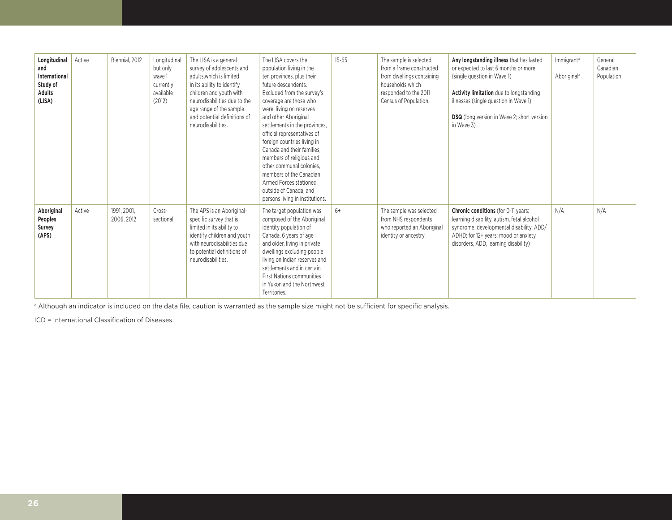| Longitudinal<br>and<br>International<br>Study of<br><b>Adults</b><br>(LISA) | Active | Biennial, 2012            | Longitudinal<br>but only<br>wave 1<br>currently<br>available<br>(2012) | The LISA is a general<br>survey of adolescents and<br>adults.which is limited<br>in its ability to identify<br>children and youth with<br>neurodisabilities due to the<br>age range of the sample<br>and potential definitions of<br>neurodisabilities. | The LISA covers the<br>population living in the<br>ten provinces, plus their<br>future descendents.<br>Excluded from the survey's<br>coverage are those who<br>were: living on reserves<br>and other Aboriginal<br>settlements in the provinces,<br>official representatives of<br>foreign countries living in<br>Canada and their families.<br>members of religious and<br>other communal colonies.<br>members of the Canadian<br>Armed Forces stationed<br>outside of Canada, and<br>persons living in institutions. | $15 - 65$ | The sample is selected<br>from a frame constructed<br>from dwellings containing<br>households which<br>responded to the 2011<br>Census of Population. | Any longstanding illness that has lasted<br>or expected to last 6 months or more<br>(single question in Wave 1)<br>Activity limitation due to longstanding<br>illnesses (single question in Wave 1)<br><b>DSQ</b> (long version in Wave 2: short version<br>in Wave 3) | Immigrant <sup>a</sup><br>Aboriginal <sup>a</sup> | General<br>Canadian<br>Population |
|-----------------------------------------------------------------------------|--------|---------------------------|------------------------------------------------------------------------|---------------------------------------------------------------------------------------------------------------------------------------------------------------------------------------------------------------------------------------------------------|------------------------------------------------------------------------------------------------------------------------------------------------------------------------------------------------------------------------------------------------------------------------------------------------------------------------------------------------------------------------------------------------------------------------------------------------------------------------------------------------------------------------|-----------|-------------------------------------------------------------------------------------------------------------------------------------------------------|------------------------------------------------------------------------------------------------------------------------------------------------------------------------------------------------------------------------------------------------------------------------|---------------------------------------------------|-----------------------------------|
| Aboriginal<br>Peoples<br>Survey<br>(APS)                                    | Active | 1991. 2001.<br>2006, 2012 | Cross-<br>sectional                                                    | The APS is an Aboriginal-<br>specific survey that is<br>limited in its ability to<br>identify children and youth<br>with neurodisabilities due<br>to potential definitions of<br>neurodisabilities.                                                     | The target population was<br>composed of the Aboriginal<br>identity population of<br>Canada, 6 years of age<br>and older, living in private<br>dwellings excluding people<br>living on Indian reserves and<br>settlements and in certain<br><b>First Nations communities</b><br>in Yukon and the Northwest<br>Territories.                                                                                                                                                                                             | $6+$      | The sample was selected<br>from NHS respondents<br>who reported an Aboriginal<br>identity or ancestry.                                                | Chronic conditions (for 0-11 years:<br>learning disability, autism, fetal alcohol<br>syndrome, developmental disability, ADD/<br>ADHD; for 12+ years: mood or anxiety<br>disorders, ADD, learning disability)                                                          | N/A                                               | N/A                               |

a Although an indicator is included on the data file, caution is warranted as the sample size might not be sufficient for specific analysis.

ICD = International Classification of Diseases.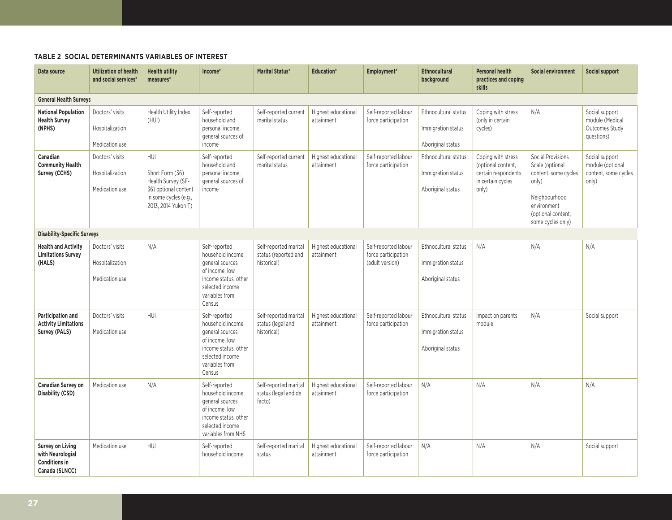#### **TABLE 2 SOCIAL DETERMINANTS VARIABLES OF INTEREST**

| Data source                                                                           | <b>Utilization of health</b><br>and social services* | <b>Health utility</b><br>measures*                                                                                   | Income*                                                                                                                                        | <b>Marital Status*</b>                                       | <b>Education*</b>                 | Employment*                                                    | <b>Ethnocultural</b><br>background                              | <b>Personal health</b><br>practices and coping<br>skills                                      | <b>Social environment</b>                                                                                                                        | <b>Social support</b>                                               |
|---------------------------------------------------------------------------------------|------------------------------------------------------|----------------------------------------------------------------------------------------------------------------------|------------------------------------------------------------------------------------------------------------------------------------------------|--------------------------------------------------------------|-----------------------------------|----------------------------------------------------------------|-----------------------------------------------------------------|-----------------------------------------------------------------------------------------------|--------------------------------------------------------------------------------------------------------------------------------------------------|---------------------------------------------------------------------|
| <b>General Health Surveys</b>                                                         |                                                      |                                                                                                                      |                                                                                                                                                |                                                              |                                   |                                                                |                                                                 |                                                                                               |                                                                                                                                                  |                                                                     |
| <b>National Population</b><br><b>Health Survey</b><br>(NPHS)                          | Doctors' visits<br>Hospitalization<br>Medication use | Health Utility Index<br>(HUI)                                                                                        | Self-reported<br>household and<br>personal income,<br>general sources of<br>income                                                             | Self-reported current<br>marital status                      | Highest educational<br>attainment | Self-reported labour<br>force participation                    | Ethnocultural status<br>Immigration status<br>Aboriginal status | Coping with stress<br>(only in certain<br>cycles)                                             | N/A                                                                                                                                              | Social support<br>module (Medical<br>Outcomes Study<br>questions)   |
| Canadian<br><b>Community Health</b><br>Survey (CCHS)                                  | Doctors' visits<br>Hospitalization<br>Medication use | HUI<br>Short Form (36)<br>Health Survey (SF-<br>36) optional content<br>in some cycles (e.g.,<br>2013, 2014 Yukon T) | Self-reported<br>household and<br>personal income.<br>general sources of<br>income                                                             | Self-reported current<br>marital status                      | Highest educational<br>attainment | Self-reported labour<br>force participation                    | Ethnocultural status<br>Immigration status<br>Aboriginal status | Coping with stress<br>(optional content.<br>certain respondents<br>in certain cycles<br>only) | Social Provisions<br>Scale (optional<br>content, some cycles<br>only)<br>Neighbourhood<br>environment<br>(optional content,<br>some cycles only) | Social support<br>module (optional<br>content, some cycles<br>only) |
| <b>Disability-Specific Surveys</b>                                                    |                                                      |                                                                                                                      |                                                                                                                                                |                                                              |                                   |                                                                |                                                                 |                                                                                               |                                                                                                                                                  |                                                                     |
| <b>Health and Activity</b><br><b>Limitations Survey</b><br>(HALS)                     | Doctors' visits<br>Hospitalization<br>Medication use | N/A                                                                                                                  | Self-reported<br>household income.<br>general sources<br>of income. low<br>income status, other<br>selected income<br>variables from<br>Census | Self-reported marital<br>status (reported and<br>historical) | Highest educational<br>attainment | Self-reported labour<br>force participation<br>(adult version) | Ethnocultural status<br>Immigration status<br>Aboriginal status | N/A                                                                                           | N/A                                                                                                                                              | N/A                                                                 |
| Participation and<br><b>Activity Limitations</b><br><b>Survey (PALS)</b>              | Doctors' visits<br>Medication use                    | HUI                                                                                                                  | Self-reported<br>household income,<br>general sources<br>of income. low<br>income status, other<br>selected income<br>variables from<br>Census | Self-reported marital<br>status (legal and<br>historical)    | Highest educational<br>attainment | Self-reported labour<br>force participation                    | Ethnocultural status<br>Immigration status<br>Aboriginal status | Impact on parents<br>module                                                                   | N/A                                                                                                                                              | Social support                                                      |
| Canadian Survey on<br>Disability (CSD)                                                | Medication use                                       | N/A                                                                                                                  | Self-reported<br>household income.<br>general sources<br>of income, low<br>income status, other<br>selected income<br>variables from NHS       | Self-reported marital<br>status (legal and de<br>facto)      | Highest educational<br>attainment | Self-reported labour<br>force participation                    | N/A                                                             | N/A                                                                                           | N/A                                                                                                                                              | N/A                                                                 |
| <b>Survey on Living</b><br>with Neurologial<br><b>Conditions in</b><br>Canada (SLNCC) | Medication use                                       | HUI                                                                                                                  | Self-reported<br>household income                                                                                                              | Self-reported marital<br>status                              | Highest educational<br>attainment | Self-reported labour<br>force participation                    | N/A                                                             | N/A                                                                                           | N/A                                                                                                                                              | Social support                                                      |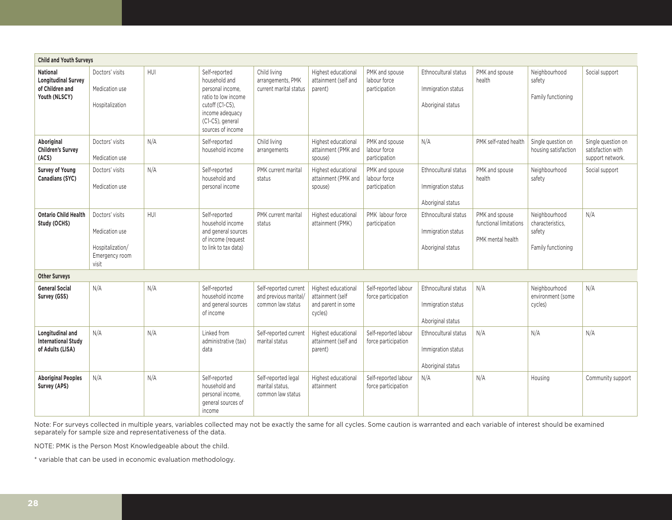| <b>Child and Youth Surveys</b>                                                    |                                                                                  |     |                                                                                                                                                          |                                                                     |                                                                          |                                                 |                                                                 |                                                               |                                                                   |                                                             |
|-----------------------------------------------------------------------------------|----------------------------------------------------------------------------------|-----|----------------------------------------------------------------------------------------------------------------------------------------------------------|---------------------------------------------------------------------|--------------------------------------------------------------------------|-------------------------------------------------|-----------------------------------------------------------------|---------------------------------------------------------------|-------------------------------------------------------------------|-------------------------------------------------------------|
| <b>National</b><br><b>Longitudinal Survey</b><br>of Children and<br>Youth (NLSCY) | Doctors' visits<br>Medication use<br>Hospitalization                             | HUI | Self-reported<br>household and<br>personal income.<br>ratio to low income<br>cutoff (C1-C5),<br>income adequacy<br>(C1-C5), general<br>sources of income | Child living<br>arrangements, PMK<br>current marital status         | Highest educational<br>attainment (self and<br>parent)                   | PMK and spouse<br>labour force<br>participation | Ethnocultural status<br>Immigration status<br>Aboriginal status | PMK and spouse<br>health                                      | Neighbourhood<br>safety<br>Family functioning                     | Social support                                              |
| <b>Aboriginal</b><br><b>Children's Survey</b><br>(ACS)                            | Doctors' visits<br>Medication use                                                | N/A | Self-reported<br>household income                                                                                                                        | Child living<br>arrangements                                        | Highest educational<br>attainment (PMK and<br>spouse)                    | PMK and spouse<br>labour force<br>participation | N/A                                                             | PMK self-rated health                                         | Single question on<br>housing satisfaction                        | Single question on<br>satisfaction with<br>support network. |
| <b>Survey of Young</b><br>Canadians (SYC)                                         | Doctors' visits<br>Medication use                                                | N/A | Self-reported<br>household and<br>personal income                                                                                                        | PMK current marital<br>status                                       | Highest educational<br>attainment (PMK and<br>spouse)                    | PMK and spouse<br>labour force<br>participation | Ethnocultural status<br>Immigration status<br>Aboriginal status | PMK and spouse<br>health                                      | Neighbourhood<br>safety                                           | Social support                                              |
| <b>Ontario Child Health</b><br>Study (OCHS)                                       | Doctors' visits<br>Medication use<br>Hospitalization/<br>Emergency room<br>visit | HUI | Self-reported<br>household income<br>and general sources<br>of income (request<br>to link to tax data)                                                   | PMK current marital<br>status                                       | Highest educational<br>attainment (PMK)                                  | PMK labour force<br>participation               | Ethnocultural status<br>Immigration status<br>Aboriginal status | PMK and spouse<br>functional limitations<br>PMK mental health | Neighbourhood<br>characteristics,<br>safety<br>Family functioning | N/A                                                         |
| <b>Other Surveys</b>                                                              |                                                                                  |     |                                                                                                                                                          |                                                                     |                                                                          |                                                 |                                                                 |                                                               |                                                                   |                                                             |
| <b>General Social</b><br>Survey (GSS)                                             | N/A                                                                              | N/A | Self-reported<br>household income<br>and general sources<br>of income                                                                                    | Self-reported current<br>and previous marital/<br>common law status | Highest educational<br>attainment (self<br>and parent in some<br>cycles) | Self-reported labour<br>force participation     | Ethnocultural status<br>Immigration status<br>Aboriginal status | N/A                                                           | Neighbourhood<br>environment (some<br>cycles)                     | N/A                                                         |
| <b>Longitudinal and</b><br><b>International Study</b><br>of Adults (LISA)         | N/A                                                                              | N/A | Linked from<br>administrative (tax)<br>data                                                                                                              | Self-reported current<br>marital status                             | Highest educational<br>attainment (self and<br>parent)                   | Self-reported labour<br>force participation     | Ethnocultural status<br>Immigration status<br>Aboriginal status | N/A                                                           | N/A                                                               | N/A                                                         |
| <b>Aboriginal Peoples</b><br>Survey (APS)                                         | N/A                                                                              | N/A | Self-reported<br>household and<br>personal income.<br>general sources of<br>income                                                                       | Self-reported legal<br>marital status,<br>common law status         | Highest educational<br>attainment                                        | Self-reported labour<br>force participation     | N/A                                                             | N/A                                                           | Housing                                                           | Community support                                           |

Note: For surveys collected in multiple years, variables collected may not be exactly the same for all cycles. Some caution is warranted and each variable of interest should be examined separately for sample size and representativeness of the data.

NOTE: PMK is the Person Most Knowledgeable about the child.

\* variable that can be used in economic evaluation methodology.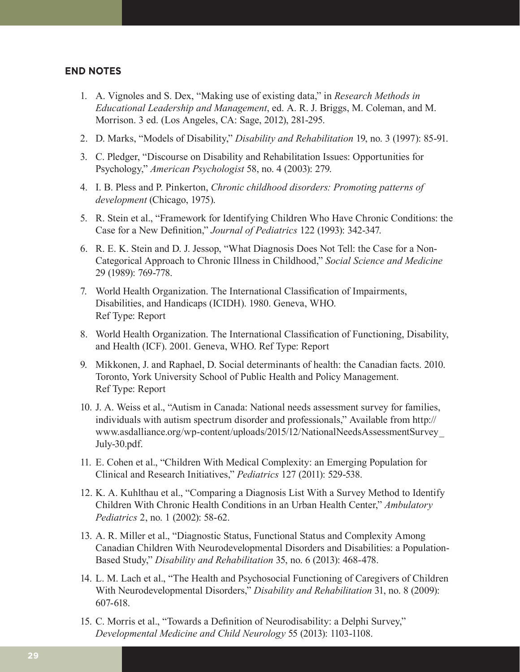## **END NOTES**

- 1. A. Vignoles and S. Dex, "Making use of existing data," in *Research Methods in Educational Leadership and Management*, ed. A. R. J. Briggs, M. Coleman, and M. Morrison. 3 ed. (Los Angeles, CA: Sage, 2012), 281-295.
- 2. D. Marks, "Models of Disability," *Disability and Rehabilitation* 19, no. 3 (1997): 85-91.
- 3. C. Pledger, "Discourse on Disability and Rehabilitation Issues: Opportunities for Psychology," *American Psychologist* 58, no. 4 (2003): 279.
- 4. I. B. Pless and P. Pinkerton, *Chronic childhood disorders: Promoting patterns of development* (Chicago, 1975).
- 5. R. Stein et al., "Framework for Identifying Children Who Have Chronic Conditions: the Case for a New Definition," *Journal of Pediatrics* 122 (1993): 342-347.
- 6. R. E. K. Stein and D. J. Jessop, "What Diagnosis Does Not Tell: the Case for a Non-Categorical Approach to Chronic Illness in Childhood," *Social Science and Medicine* 29 (1989): 769-778.
- 7. World Health Organization. The International Classification of Impairments, Disabilities, and Handicaps (ICIDH). 1980. Geneva, WHO. Ref Type: Report
- 8. World Health Organization. The International Classification of Functioning, Disability, and Health (ICF). 2001. Geneva, WHO. Ref Type: Report
- 9. Mikkonen, J. and Raphael, D. Social determinants of health: the Canadian facts. 2010. Toronto, York University School of Public Health and Policy Management. Ref Type: Report
- 10. J. A. Weiss et al., "Autism in Canada: National needs assessment survey for families, individuals with autism spectrum disorder and professionals," Available from http:// www.asdalliance.org/wp-content/uploads/2015/12/NationalNeedsAssessmentSurvey\_ July-30.pdf.
- 11. E. Cohen et al., "Children With Medical Complexity: an Emerging Population for Clinical and Research Initiatives," *Pediatrics* 127 (2011): 529-538.
- 12. K. A. Kuhlthau et al., "Comparing a Diagnosis List With a Survey Method to Identify Children With Chronic Health Conditions in an Urban Health Center," *Ambulatory Pediatrics* 2, no. 1 (2002): 58-62.
- 13. A. R. Miller et al., "Diagnostic Status, Functional Status and Complexity Among Canadian Children With Neurodevelopmental Disorders and Disabilities: a Population-Based Study," *Disability and Rehabilitation* 35, no. 6 (2013): 468-478.
- 14. L. M. Lach et al., "The Health and Psychosocial Functioning of Caregivers of Children With Neurodevelopmental Disorders," *Disability and Rehabilitation* 31, no. 8 (2009): 607-618.
- 15. C. Morris et al., "Towards a Definition of Neurodisability: a Delphi Survey," *Developmental Medicine and Child Neurology* 55 (2013): 1103-1108.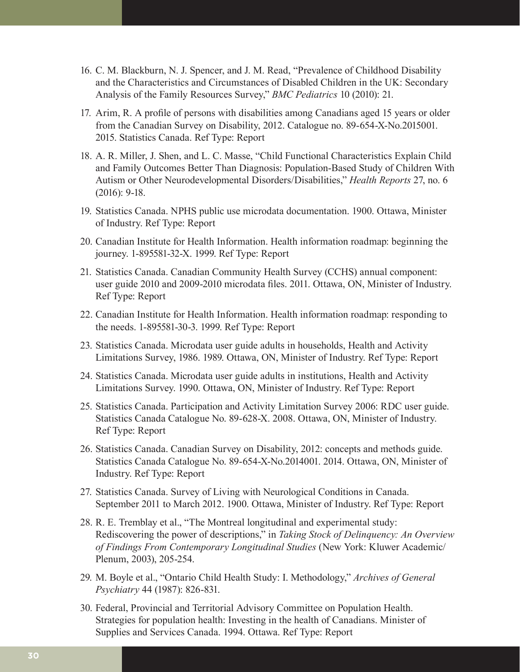- 16. C. M. Blackburn, N. J. Spencer, and J. M. Read, "Prevalence of Childhood Disability and the Characteristics and Circumstances of Disabled Children in the UK: Secondary Analysis of the Family Resources Survey," *BMC Pediatrics* 10 (2010): 21.
- 17. Arim, R. A profile of persons with disabilities among Canadians aged 15 years or older from the Canadian Survey on Disability, 2012. Catalogue no. 89-654-X-No.2015001. 2015. Statistics Canada. Ref Type: Report
- 18. A. R. Miller, J. Shen, and L. C. Masse, "Child Functional Characteristics Explain Child and Family Outcomes Better Than Diagnosis: Population-Based Study of Children With Autism or Other Neurodevelopmental Disorders/Disabilities," *Health Reports* 27, no. 6 (2016): 9-18.
- 19. Statistics Canada. NPHS public use microdata documentation. 1900. Ottawa, Minister of Industry. Ref Type: Report
- 20. Canadian Institute for Health Information. Health information roadmap: beginning the journey. 1-895581-32-X. 1999. Ref Type: Report
- 21. Statistics Canada. Canadian Community Health Survey (CCHS) annual component: user guide 2010 and 2009-2010 microdata files. 2011. Ottawa, ON, Minister of Industry. Ref Type: Report
- 22. Canadian Institute for Health Information. Health information roadmap: responding to the needs. 1-895581-30-3. 1999. Ref Type: Report
- 23. Statistics Canada. Microdata user guide adults in households, Health and Activity Limitations Survey, 1986. 1989. Ottawa, ON, Minister of Industry. Ref Type: Report
- 24. Statistics Canada. Microdata user guide adults in institutions, Health and Activity Limitations Survey. 1990. Ottawa, ON, Minister of Industry. Ref Type: Report
- 25. Statistics Canada. Participation and Activity Limitation Survey 2006: RDC user guide. Statistics Canada Catalogue No. 89-628-X. 2008. Ottawa, ON, Minister of Industry. Ref Type: Report
- 26. Statistics Canada. Canadian Survey on Disability, 2012: concepts and methods guide. Statistics Canada Catalogue No. 89-654-X-No.2014001. 2014. Ottawa, ON, Minister of Industry. Ref Type: Report
- 27. Statistics Canada. Survey of Living with Neurological Conditions in Canada. September 2011 to March 2012. 1900. Ottawa, Minister of Industry. Ref Type: Report
- 28. R. E. Tremblay et al., "The Montreal longitudinal and experimental study: Rediscovering the power of descriptions," in *Taking Stock of Delinquency: An Overview of Findings From Contemporary Longitudinal Studies* (New York: Kluwer Academic/ Plenum, 2003), 205-254.
- 29. M. Boyle et al., "Ontario Child Health Study: I. Methodology," *Archives of General Psychiatry* 44 (1987): 826-831.
- 30. Federal, Provincial and Territorial Advisory Committee on Population Health. Strategies for population health: Investing in the health of Canadians. Minister of Supplies and Services Canada. 1994. Ottawa. Ref Type: Report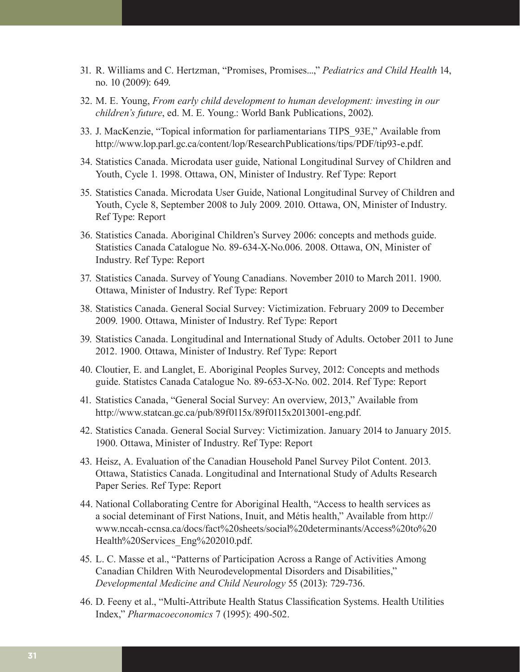- 31. R. Williams and C. Hertzman, "Promises, Promises...," *Pediatrics and Child Health* 14, no. 10 (2009): 649.
- 32. M. E. Young, *From early child development to human development: investing in our children's future*, ed. M. E. Young.: World Bank Publications, 2002).
- 33. J. MacKenzie, "Topical information for parliamentarians TIPS\_93E," Available from http://www.lop.parl.gc.ca/content/lop/ResearchPublications/tips/PDF/tip93-e.pdf.
- 34. Statistics Canada. Microdata user guide, National Longitudinal Survey of Children and Youth, Cycle 1. 1998. Ottawa, ON, Minister of Industry. Ref Type: Report
- 35. Statistics Canada. Microdata User Guide, National Longitudinal Survey of Children and Youth, Cycle 8, September 2008 to July 2009. 2010. Ottawa, ON, Minister of Industry. Ref Type: Report
- 36. Statistics Canada. Aboriginal Children's Survey 2006: concepts and methods guide. Statistics Canada Catalogue No. 89-634-X-No.006. 2008. Ottawa, ON, Minister of Industry. Ref Type: Report
- 37. Statistics Canada. Survey of Young Canadians. November 2010 to March 2011. 1900. Ottawa, Minister of Industry. Ref Type: Report
- 38. Statistics Canada. General Social Survey: Victimization. February 2009 to December 2009. 1900. Ottawa, Minister of Industry. Ref Type: Report
- 39. Statistics Canada. Longitudinal and International Study of Adults. October 2011 to June 2012. 1900. Ottawa, Minister of Industry. Ref Type: Report
- 40. Cloutier, E. and Langlet, E. Aboriginal Peoples Survey, 2012: Concepts and methods guide. Statistcs Canada Catalogue No. 89-653-X-No. 002. 2014. Ref Type: Report
- 41. Statistics Canada, "General Social Survey: An overview, 2013," Available from http://www.statcan.gc.ca/pub/89f0115x/89f0115x2013001-eng.pdf.
- 42. Statistics Canada. General Social Survey: Victimization. January 2014 to January 2015. 1900. Ottawa, Minister of Industry. Ref Type: Report
- 43. Heisz, A. Evaluation of the Canadian Household Panel Survey Pilot Content. 2013. Ottawa, Statistics Canada. Longitudinal and International Study of Adults Research Paper Series. Ref Type: Report
- 44. National Collaborating Centre for Aboriginal Health, "Access to health services as a social deteminant of First Nations, Inuit, and Métis health," Available from http:// www.nccah-ccnsa.ca/docs/fact%20sheets/social%20determinants/Access%20to%20 Health%20Services\_Eng%202010.pdf.
- 45. L. C. Masse et al., "Patterns of Participation Across a Range of Activities Among Canadian Children With Neurodevelopmental Disorders and Disabilities," *Developmental Medicine and Child Neurology* 55 (2013): 729-736.
- 46. D. Feeny et al., "Multi-Attribute Health Status Classification Systems. Health Utilities Index," *Pharmacoeconomics* 7 (1995): 490-502.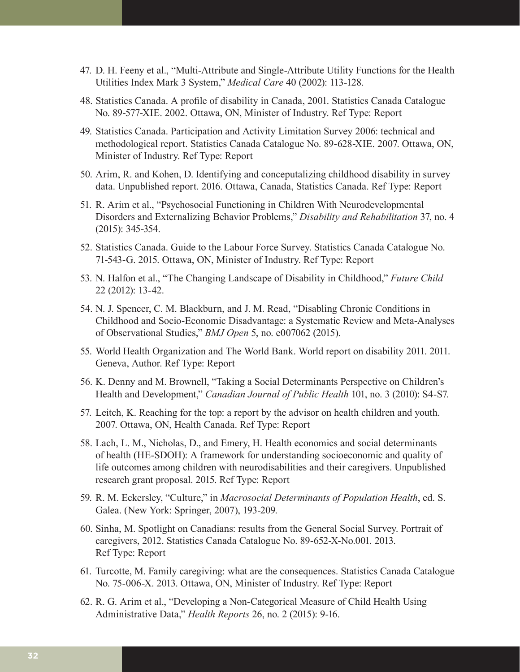- 47. D. H. Feeny et al., "Multi-Attribute and Single-Attribute Utility Functions for the Health Utilities Index Mark 3 System," *Medical Care* 40 (2002): 113-128.
- 48. Statistics Canada. A profile of disability in Canada, 2001. Statistics Canada Catalogue No. 89-577-XIE. 2002. Ottawa, ON, Minister of Industry. Ref Type: Report
- 49. Statistics Canada. Participation and Activity Limitation Survey 2006: technical and methodological report. Statistics Canada Catalogue No. 89-628-XIE. 2007. Ottawa, ON, Minister of Industry. Ref Type: Report
- 50. Arim, R. and Kohen, D. Identifying and conceputalizing childhood disability in survey data. Unpublished report. 2016. Ottawa, Canada, Statistics Canada. Ref Type: Report
- 51. R. Arim et al., "Psychosocial Functioning in Children With Neurodevelopmental Disorders and Externalizing Behavior Problems," *Disability and Rehabilitation* 37, no. 4 (2015): 345-354.
- 52. Statistics Canada. Guide to the Labour Force Survey. Statistics Canada Catalogue No. 71-543-G. 2015. Ottawa, ON, Minister of Industry. Ref Type: Report
- 53. N. Halfon et al., "The Changing Landscape of Disability in Childhood," *Future Child* 22 (2012): 13-42.
- 54. N. J. Spencer, C. M. Blackburn, and J. M. Read, "Disabling Chronic Conditions in Childhood and Socio-Economic Disadvantage: a Systematic Review and Meta-Analyses of Observational Studies," *BMJ Open* 5, no. e007062 (2015).
- 55. World Health Organization and The World Bank. World report on disability 2011. 2011. Geneva, Author. Ref Type: Report
- 56. K. Denny and M. Brownell, "Taking a Social Determinants Perspective on Children's Health and Development," *Canadian Journal of Public Health* 101, no. 3 (2010): S4-S7.
- 57. Leitch, K. Reaching for the top: a report by the advisor on health children and youth. 2007. Ottawa, ON, Health Canada. Ref Type: Report
- 58. Lach, L. M., Nicholas, D., and Emery, H. Health economics and social determinants of health (HE-SDOH): A framework for understanding socioeconomic and quality of life outcomes among children with neurodisabilities and their caregivers. Unpublished research grant proposal. 2015. Ref Type: Report
- 59. R. M. Eckersley, "Culture," in *Macrosocial Determinants of Population Health*, ed. S. Galea. (New York: Springer, 2007), 193-209.
- 60. Sinha, M. Spotlight on Canadians: results from the General Social Survey. Portrait of caregivers, 2012. Statistics Canada Catalogue No. 89-652-X-No.001. 2013. Ref Type: Report
- 61. Turcotte, M. Family caregiving: what are the consequences. Statistics Canada Catalogue No. 75-006-X. 2013. Ottawa, ON, Minister of Industry. Ref Type: Report
- 62. R. G. Arim et al., "Developing a Non-Categorical Measure of Child Health Using Administrative Data," *Health Reports* 26, no. 2 (2015): 9-16.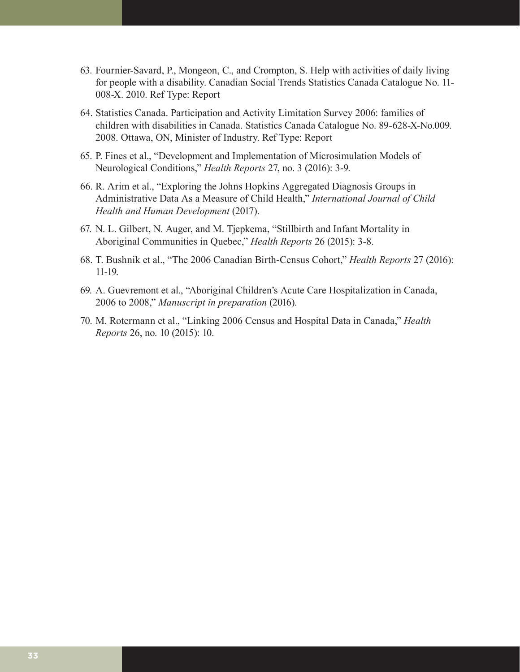- 63. Fournier-Savard, P., Mongeon, C., and Crompton, S. Help with activities of daily living for people with a disability. Canadian Social Trends Statistics Canada Catalogue No. 11- 008-X. 2010. Ref Type: Report
- 64. Statistics Canada. Participation and Activity Limitation Survey 2006: families of children with disabilities in Canada. Statistics Canada Catalogue No. 89-628-X-No.009. 2008. Ottawa, ON, Minister of Industry. Ref Type: Report
- 65. P. Fines et al., "Development and Implementation of Microsimulation Models of Neurological Conditions," *Health Reports* 27, no. 3 (2016): 3-9.
- 66. R. Arim et al., "Exploring the Johns Hopkins Aggregated Diagnosis Groups in Administrative Data As a Measure of Child Health," *International Journal of Child Health and Human Development* (2017).
- 67. N. L. Gilbert, N. Auger, and M. Tjepkema, "Stillbirth and Infant Mortality in Aboriginal Communities in Quebec," *Health Reports* 26 (2015): 3-8.
- 68. T. Bushnik et al., "The 2006 Canadian Birth-Census Cohort," *Health Reports* 27 (2016): 11-19.
- 69. A. Guevremont et al., "Aboriginal Children's Acute Care Hospitalization in Canada, 2006 to 2008," *Manuscript in preparation* (2016).
- 70. M. Rotermann et al., "Linking 2006 Census and Hospital Data in Canada," *Health Reports* 26, no. 10 (2015): 10.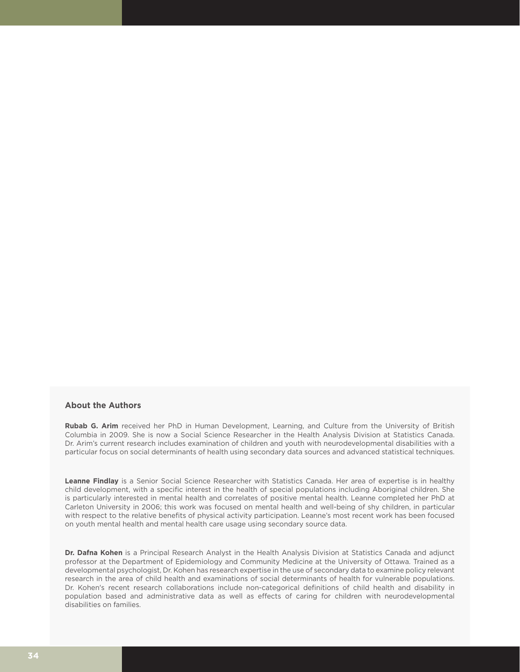#### **About the Authors**

**Rubab G. Arim** received her PhD in Human Development, Learning, and Culture from the University of British Columbia in 2009. She is now a Social Science Researcher in the Health Analysis Division at Statistics Canada. Dr. Arim's current research includes examination of children and youth with neurodevelopmental disabilities with a particular focus on social determinants of health using secondary data sources and advanced statistical techniques.

**Leanne Findlay** is a Senior Social Science Researcher with Statistics Canada. Her area of expertise is in healthy child development, with a specific interest in the health of special populations including Aboriginal children. She is particularly interested in mental health and correlates of positive mental health. Leanne completed her PhD at Carleton University in 2006; this work was focused on mental health and well-being of shy children, in particular with respect to the relative benefits of physical activity participation. Leanne's most recent work has been focused on youth mental health and mental health care usage using secondary source data.

**Dr. Dafna Kohen** is a Principal Research Analyst in the Health Analysis Division at Statistics Canada and adjunct professor at the Department of Epidemiology and Community Medicine at the University of Ottawa. Trained as a developmental psychologist, Dr. Kohen has research expertise in the use of secondary data to examine policy relevant research in the area of child health and examinations of social determinants of health for vulnerable populations. Dr. Kohen's recent research collaborations include non-categorical definitions of child health and disability in population based and administrative data as well as effects of caring for children with neurodevelopmental disabilities on families.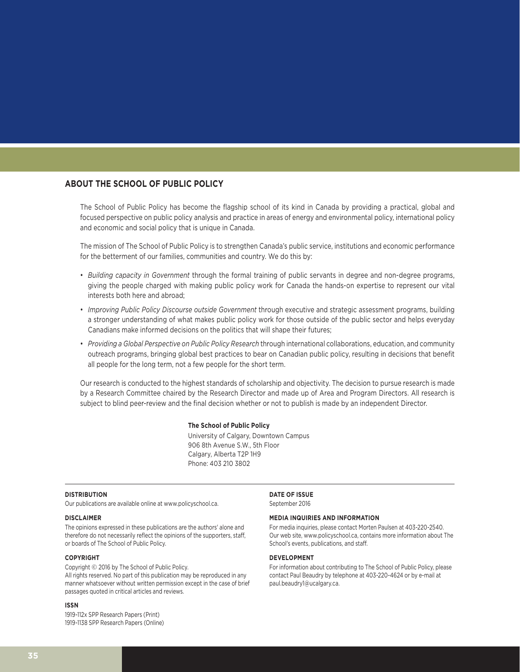### **ABOUT THE SCHOOL OF PUBLIC POLICY**

The School of Public Policy has become the flagship school of its kind in Canada by providing a practical, global and focused perspective on public policy analysis and practice in areas of energy and environmental policy, international policy and economic and social policy that is unique in Canada.

The mission of The School of Public Policy is to strengthen Canada's public service, institutions and economic performance for the betterment of our families, communities and country. We do this by:

- *Building capacity in Government* through the formal training of public servants in degree and non-degree programs, giving the people charged with making public policy work for Canada the hands-on expertise to represent our vital interests both here and abroad;
- *Improving Public Policy Discourse outside Government* through executive and strategic assessment programs, building a stronger understanding of what makes public policy work for those outside of the public sector and helps everyday Canadians make informed decisions on the politics that will shape their futures;
- *Providing a Global Perspective on Public Policy Research* through international collaborations, education, and community outreach programs, bringing global best practices to bear on Canadian public policy, resulting in decisions that benefit all people for the long term, not a few people for the short term.

Our research is conducted to the highest standards of scholarship and objectivity. The decision to pursue research is made by a Research Committee chaired by the Research Director and made up of Area and Program Directors. All research is subject to blind peer-review and the final decision whether or not to publish is made by an independent Director.

#### **The School of Public Policy**

University of Calgary, Downtown Campus 906 8th Avenue S.W., 5th Floor Calgary, Alberta T2P 1H9 Phone: 403 210 3802

#### **DISTRIBUTION**

Our publications are available online at www.policyschool.ca.

#### **DISCLAIMER**

The opinions expressed in these publications are the authors' alone and therefore do not necessarily reflect the opinions of the supporters, staff, or boards of The School of Public Policy.

#### **COPYRIGHT**

Copyright © 2016 by The School of Public Policy. All rights reserved. No part of this publication may be reproduced in any manner whatsoever without written permission except in the case of brief passages quoted in critical articles and reviews.

#### **ISSN**

1919-112x SPP Research Papers (Print) 1919-1138 SPP Research Papers (Online)

#### **DATE OF ISSUE**

September 2016

#### **MEDIA INQUIRIES AND INFORMATION**

For media inquiries, please contact Morten Paulsen at 403-220-2540. Our web site, www.policyschool.ca, contains more information about The School's events, publications, and staff.

#### **DEVELOPMENT**

For information about contributing to The School of Public Policy, please contact Paul Beaudry by telephone at 403-220-4624 or by e-mail at paul.beaudry1@ucalgary.ca.